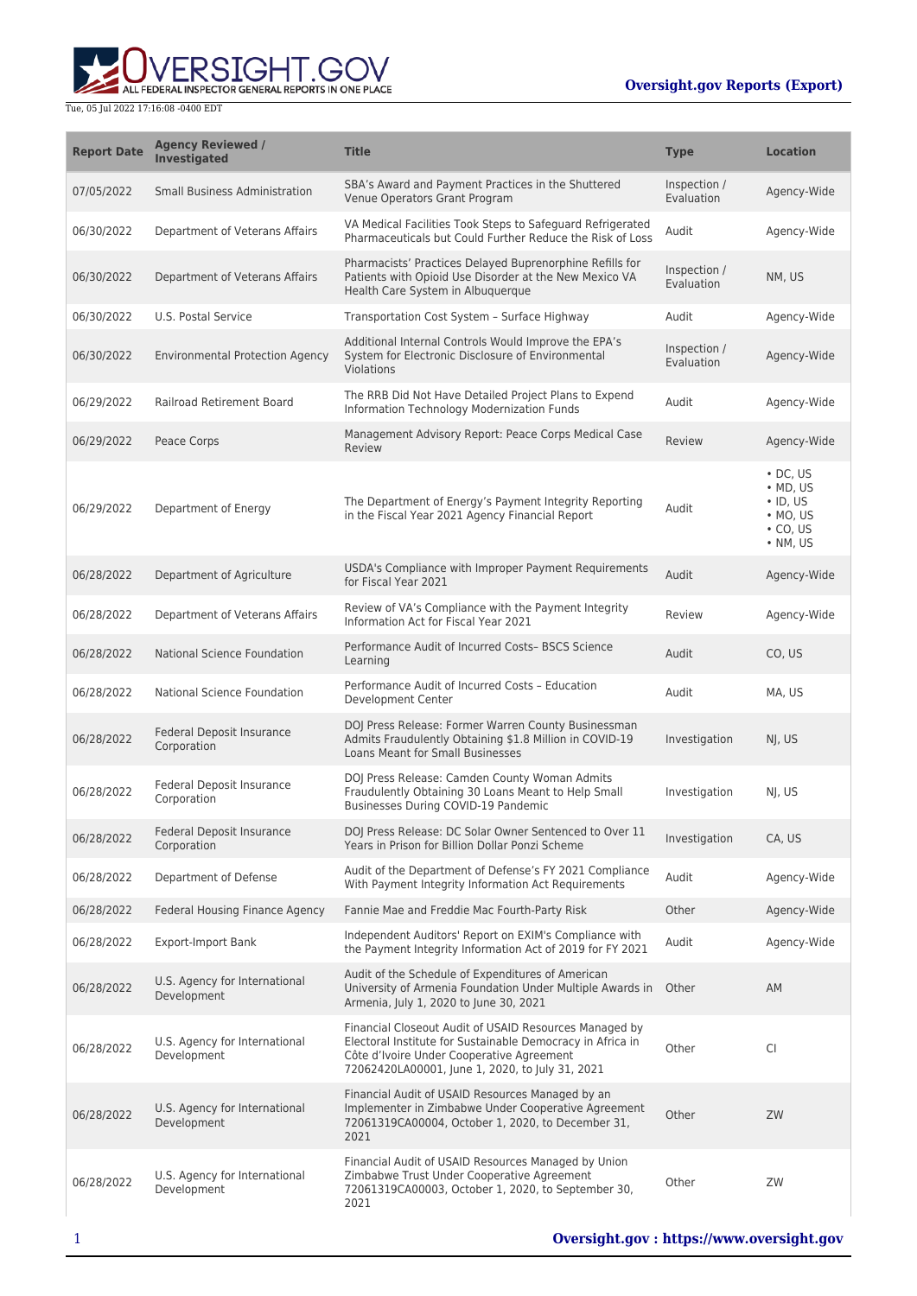

| <b>Report Date</b> | <b>Agency Reviewed /</b><br><b>Investigated</b> | <b>Title</b>                                                                                                                                                                                                         | <b>Type</b>                | <b>Location</b>                                                                                  |
|--------------------|-------------------------------------------------|----------------------------------------------------------------------------------------------------------------------------------------------------------------------------------------------------------------------|----------------------------|--------------------------------------------------------------------------------------------------|
| 07/05/2022         | <b>Small Business Administration</b>            | SBA's Award and Payment Practices in the Shuttered<br>Venue Operators Grant Program                                                                                                                                  | Inspection /<br>Evaluation | Agency-Wide                                                                                      |
| 06/30/2022         | Department of Veterans Affairs                  | VA Medical Facilities Took Steps to Safeguard Refrigerated<br>Pharmaceuticals but Could Further Reduce the Risk of Loss                                                                                              | Audit                      | Agency-Wide                                                                                      |
| 06/30/2022         | Department of Veterans Affairs                  | Pharmacists' Practices Delayed Buprenorphine Refills for<br>Patients with Opioid Use Disorder at the New Mexico VA<br>Health Care System in Albuquerque                                                              | Inspection /<br>Evaluation | NM, US                                                                                           |
| 06/30/2022         | U.S. Postal Service                             | Transportation Cost System - Surface Highway                                                                                                                                                                         | Audit                      | Agency-Wide                                                                                      |
| 06/30/2022         | <b>Environmental Protection Agency</b>          | Additional Internal Controls Would Improve the EPA's<br>System for Electronic Disclosure of Environmental<br>Violations                                                                                              | Inspection /<br>Evaluation | Agency-Wide                                                                                      |
| 06/29/2022         | Railroad Retirement Board                       | The RRB Did Not Have Detailed Project Plans to Expend<br>Information Technology Modernization Funds                                                                                                                  | Audit                      | Agency-Wide                                                                                      |
| 06/29/2022         | Peace Corps                                     | Management Advisory Report: Peace Corps Medical Case<br>Review                                                                                                                                                       | Review                     | Agency-Wide                                                                                      |
| 06/29/2022         | Department of Energy                            | The Department of Energy's Payment Integrity Reporting<br>in the Fiscal Year 2021 Agency Financial Report                                                                                                            | Audit                      | $\cdot$ DC, US<br>$\bullet$ MD, US<br>$\cdot$ ID, US<br>$·$ MO, US<br>$\cdot$ CO, US<br>• NM, US |
| 06/28/2022         | Department of Agriculture                       | USDA's Compliance with Improper Payment Requirements<br>for Fiscal Year 2021                                                                                                                                         | Audit                      | Agency-Wide                                                                                      |
| 06/28/2022         | Department of Veterans Affairs                  | Review of VA's Compliance with the Payment Integrity<br>Information Act for Fiscal Year 2021                                                                                                                         | Review                     | Agency-Wide                                                                                      |
| 06/28/2022         | <b>National Science Foundation</b>              | Performance Audit of Incurred Costs- BSCS Science<br>Learning                                                                                                                                                        | Audit                      | CO, US                                                                                           |
| 06/28/2022         | National Science Foundation                     | Performance Audit of Incurred Costs - Education<br>Development Center                                                                                                                                                | Audit                      | MA, US                                                                                           |
| 06/28/2022         | Federal Deposit Insurance<br>Corporation        | DOJ Press Release: Former Warren County Businessman<br>Admits Fraudulently Obtaining \$1.8 Million in COVID-19<br><b>Loans Meant for Small Businesses</b>                                                            | Investigation              | NI, US                                                                                           |
| 06/28/2022         | Federal Deposit Insurance<br>Corporation        | DOJ Press Release: Camden County Woman Admits<br>Fraudulently Obtaining 30 Loans Meant to Help Small<br>Businesses During COVID-19 Pandemic                                                                          | Investigation              | NJ, US                                                                                           |
| 06/28/2022         | Federal Deposit Insurance<br>Corporation        | DOJ Press Release: DC Solar Owner Sentenced to Over 11<br>Years in Prison for Billion Dollar Ponzi Scheme                                                                                                            | Investigation              | CA, US                                                                                           |
| 06/28/2022         | Department of Defense                           | Audit of the Department of Defense's FY 2021 Compliance<br>With Payment Integrity Information Act Requirements                                                                                                       | Audit                      | Agency-Wide                                                                                      |
| 06/28/2022         | <b>Federal Housing Finance Agency</b>           | Fannie Mae and Freddie Mac Fourth-Party Risk                                                                                                                                                                         | Other                      | Agency-Wide                                                                                      |
| 06/28/2022         | <b>Export-Import Bank</b>                       | Independent Auditors' Report on EXIM's Compliance with<br>the Payment Integrity Information Act of 2019 for FY 2021                                                                                                  | Audit                      | Agency-Wide                                                                                      |
| 06/28/2022         | U.S. Agency for International<br>Development    | Audit of the Schedule of Expenditures of American<br>University of Armenia Foundation Under Multiple Awards in<br>Armenia, July 1, 2020 to June 30, 2021                                                             | Other                      | AM                                                                                               |
| 06/28/2022         | U.S. Agency for International<br>Development    | Financial Closeout Audit of USAID Resources Managed by<br>Electoral Institute for Sustainable Democracy in Africa in<br>Côte d'Ivoire Under Cooperative Agreement<br>72062420LA00001, June 1, 2020, to July 31, 2021 | Other                      | <b>CI</b>                                                                                        |
| 06/28/2022         | U.S. Agency for International<br>Development    | Financial Audit of USAID Resources Managed by an<br>Implementer in Zimbabwe Under Cooperative Agreement<br>72061319CA00004, October 1, 2020, to December 31,<br>2021                                                 | Other                      | ZW                                                                                               |
| 06/28/2022         | U.S. Agency for International<br>Development    | Financial Audit of USAID Resources Managed by Union<br>Zimbabwe Trust Under Cooperative Agreement<br>72061319CA00003, October 1, 2020, to September 30,<br>2021                                                      | Other                      | ZW                                                                                               |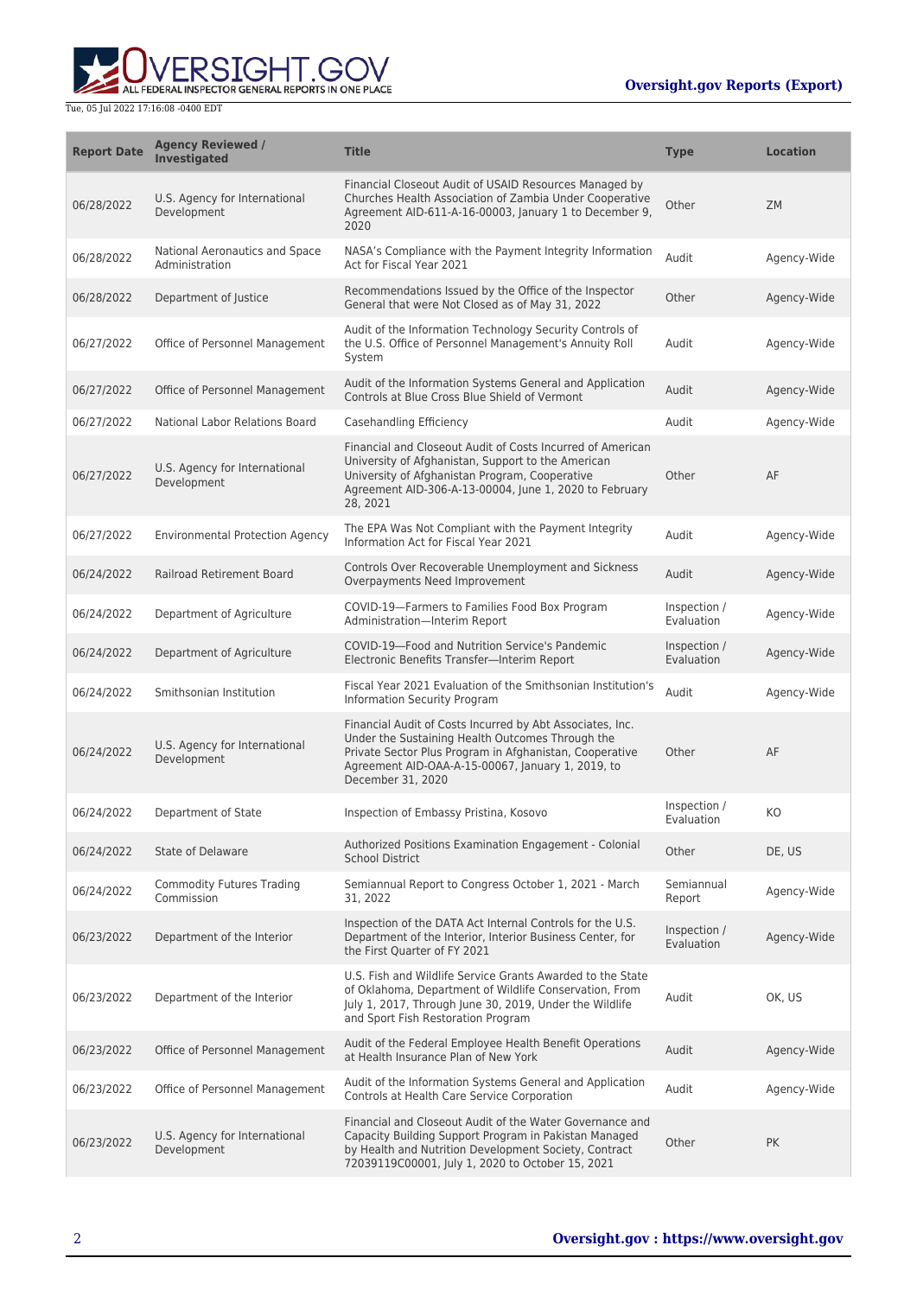

| <b>Report Date</b> | <b>Agency Reviewed /</b><br><b>Investigated</b>  | <b>Title</b>                                                                                                                                                                                                                                       | <b>Type</b>                | <b>Location</b> |
|--------------------|--------------------------------------------------|----------------------------------------------------------------------------------------------------------------------------------------------------------------------------------------------------------------------------------------------------|----------------------------|-----------------|
| 06/28/2022         | U.S. Agency for International<br>Development     | Financial Closeout Audit of USAID Resources Managed by<br>Churches Health Association of Zambia Under Cooperative<br>Agreement AID-611-A-16-00003, January 1 to December 9,<br>2020                                                                | Other                      | <b>ZM</b>       |
| 06/28/2022         | National Aeronautics and Space<br>Administration | NASA's Compliance with the Payment Integrity Information<br>Act for Fiscal Year 2021                                                                                                                                                               | Audit                      | Agency-Wide     |
| 06/28/2022         | Department of Justice                            | Recommendations Issued by the Office of the Inspector<br>General that were Not Closed as of May 31, 2022                                                                                                                                           | Other                      | Agency-Wide     |
| 06/27/2022         | Office of Personnel Management                   | Audit of the Information Technology Security Controls of<br>the U.S. Office of Personnel Management's Annuity Roll<br>System                                                                                                                       | Audit                      | Agency-Wide     |
| 06/27/2022         | Office of Personnel Management                   | Audit of the Information Systems General and Application<br>Controls at Blue Cross Blue Shield of Vermont                                                                                                                                          | Audit                      | Agency-Wide     |
| 06/27/2022         | National Labor Relations Board                   | Casehandling Efficiency                                                                                                                                                                                                                            | Audit                      | Agency-Wide     |
| 06/27/2022         | U.S. Agency for International<br>Development     | Financial and Closeout Audit of Costs Incurred of American<br>University of Afghanistan, Support to the American<br>University of Afghanistan Program, Cooperative<br>Agreement AID-306-A-13-00004, June 1, 2020 to February<br>28, 2021           | Other                      | AF              |
| 06/27/2022         | <b>Environmental Protection Agency</b>           | The EPA Was Not Compliant with the Payment Integrity<br>Information Act for Fiscal Year 2021                                                                                                                                                       | Audit                      | Agency-Wide     |
| 06/24/2022         | <b>Railroad Retirement Board</b>                 | Controls Over Recoverable Unemployment and Sickness<br>Overpayments Need Improvement                                                                                                                                                               | Audit                      | Agency-Wide     |
| 06/24/2022         | Department of Agriculture                        | COVID-19-Farmers to Families Food Box Program<br>Administration-Interim Report                                                                                                                                                                     | Inspection /<br>Evaluation | Agency-Wide     |
| 06/24/2022         | Department of Agriculture                        | COVID-19-Food and Nutrition Service's Pandemic<br>Electronic Benefits Transfer-Interim Report                                                                                                                                                      | Inspection /<br>Evaluation | Agency-Wide     |
| 06/24/2022         | Smithsonian Institution                          | Fiscal Year 2021 Evaluation of the Smithsonian Institution's<br>Information Security Program                                                                                                                                                       | Audit                      | Agency-Wide     |
| 06/24/2022         | U.S. Agency for International<br>Development     | Financial Audit of Costs Incurred by Abt Associates, Inc.<br>Under the Sustaining Health Outcomes Through the<br>Private Sector Plus Program in Afghanistan, Cooperative<br>Agreement AID-OAA-A-15-00067, January 1, 2019, to<br>December 31, 2020 | Other                      | AF              |
| 06/24/2022         | Department of State                              | Inspection of Embassy Pristina, Kosovo                                                                                                                                                                                                             | Inspection /<br>Evaluation | KO              |
| 06/24/2022         | <b>State of Delaware</b>                         | Authorized Positions Examination Engagement - Colonial<br><b>School District</b>                                                                                                                                                                   | Other                      | DE. US          |
| 06/24/2022         | <b>Commodity Futures Trading</b><br>Commission   | Semiannual Report to Congress October 1, 2021 - March<br>31, 2022                                                                                                                                                                                  | Semiannual<br>Report       | Agency-Wide     |
| 06/23/2022         | Department of the Interior                       | Inspection of the DATA Act Internal Controls for the U.S.<br>Department of the Interior, Interior Business Center, for<br>the First Quarter of FY 2021                                                                                             | Inspection /<br>Evaluation | Agency-Wide     |
| 06/23/2022         | Department of the Interior                       | U.S. Fish and Wildlife Service Grants Awarded to the State<br>of Oklahoma, Department of Wildlife Conservation, From<br>July 1, 2017, Through June 30, 2019, Under the Wildlife<br>and Sport Fish Restoration Program                              | Audit                      | OK, US          |
| 06/23/2022         | Office of Personnel Management                   | Audit of the Federal Employee Health Benefit Operations<br>at Health Insurance Plan of New York                                                                                                                                                    | Audit                      | Agency-Wide     |
| 06/23/2022         | Office of Personnel Management                   | Audit of the Information Systems General and Application<br>Controls at Health Care Service Corporation                                                                                                                                            | Audit                      | Agency-Wide     |
| 06/23/2022         | U.S. Agency for International<br>Development     | Financial and Closeout Audit of the Water Governance and<br>Capacity Building Support Program in Pakistan Managed<br>by Health and Nutrition Development Society, Contract<br>72039119C00001, July 1, 2020 to October 15, 2021                     | Other                      | <b>PK</b>       |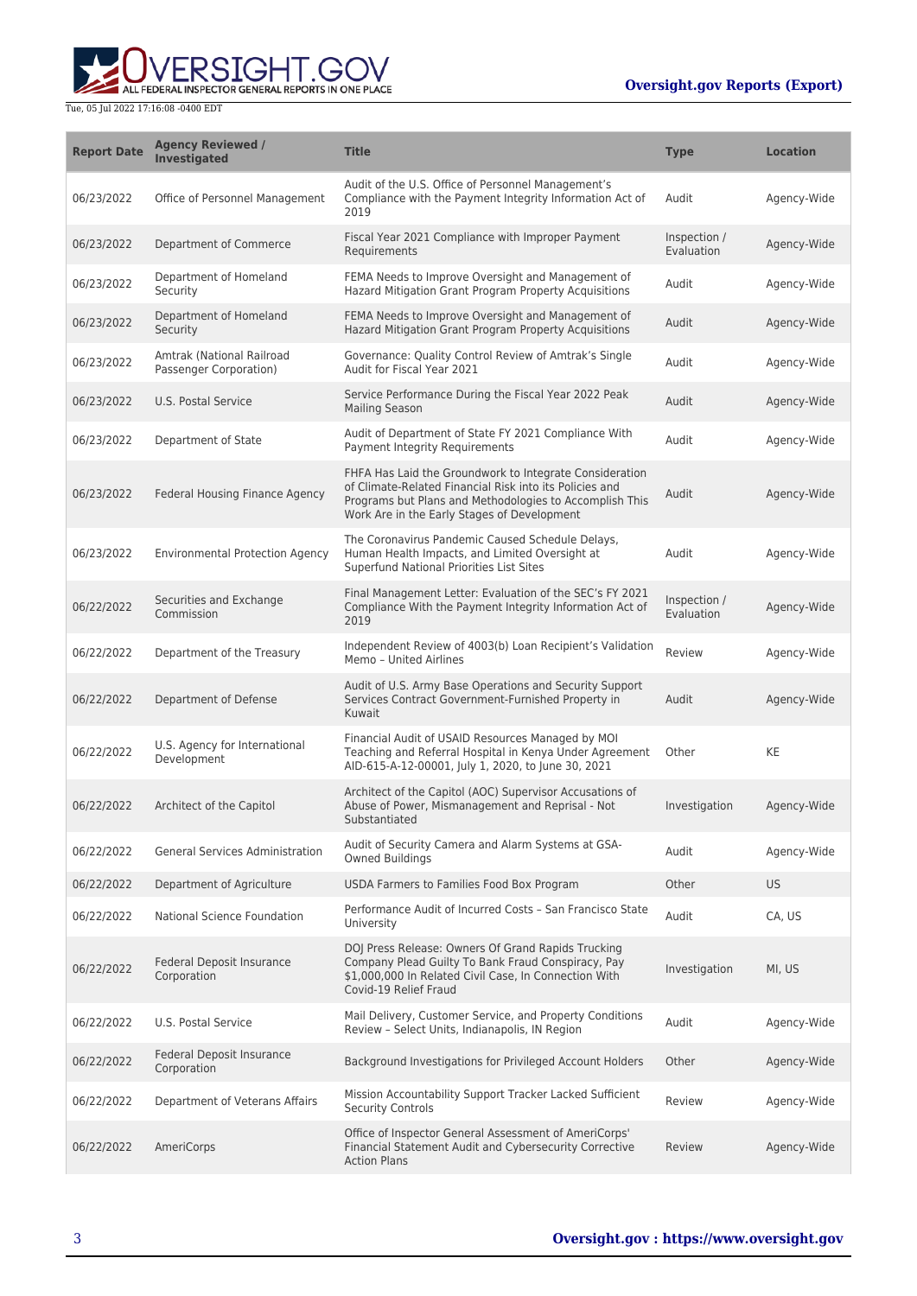

| <b>Report Date</b> | <b>Agency Reviewed /</b><br><b>Investigated</b>     | <b>Title</b>                                                                                                                                                                                                                 | <b>Type</b>                | <b>Location</b> |
|--------------------|-----------------------------------------------------|------------------------------------------------------------------------------------------------------------------------------------------------------------------------------------------------------------------------------|----------------------------|-----------------|
| 06/23/2022         | Office of Personnel Management                      | Audit of the U.S. Office of Personnel Management's<br>Compliance with the Payment Integrity Information Act of<br>2019                                                                                                       | Audit                      | Agency-Wide     |
| 06/23/2022         | Department of Commerce                              | Fiscal Year 2021 Compliance with Improper Payment<br>Requirements                                                                                                                                                            | Inspection /<br>Evaluation | Agency-Wide     |
| 06/23/2022         | Department of Homeland<br>Security                  | FEMA Needs to Improve Oversight and Management of<br>Hazard Mitigation Grant Program Property Acquisitions                                                                                                                   | Audit                      | Agency-Wide     |
| 06/23/2022         | Department of Homeland<br>Security                  | FEMA Needs to Improve Oversight and Management of<br>Hazard Mitigation Grant Program Property Acquisitions                                                                                                                   | Audit                      | Agency-Wide     |
| 06/23/2022         | Amtrak (National Railroad<br>Passenger Corporation) | Governance: Quality Control Review of Amtrak's Single<br>Audit for Fiscal Year 2021                                                                                                                                          | Audit                      | Agency-Wide     |
| 06/23/2022         | U.S. Postal Service                                 | Service Performance During the Fiscal Year 2022 Peak<br><b>Mailing Season</b>                                                                                                                                                | Audit                      | Agency-Wide     |
| 06/23/2022         | Department of State                                 | Audit of Department of State FY 2021 Compliance With<br>Payment Integrity Requirements                                                                                                                                       | Audit                      | Agency-Wide     |
| 06/23/2022         | Federal Housing Finance Agency                      | FHFA Has Laid the Groundwork to Integrate Consideration<br>of Climate-Related Financial Risk into its Policies and<br>Programs but Plans and Methodologies to Accomplish This<br>Work Are in the Early Stages of Development | Audit                      | Agency-Wide     |
| 06/23/2022         | <b>Environmental Protection Agency</b>              | The Coronavirus Pandemic Caused Schedule Delays,<br>Human Health Impacts, and Limited Oversight at<br>Superfund National Priorities List Sites                                                                               | Audit                      | Agency-Wide     |
| 06/22/2022         | Securities and Exchange<br>Commission               | Final Management Letter: Evaluation of the SEC's FY 2021<br>Compliance With the Payment Integrity Information Act of<br>2019                                                                                                 | Inspection /<br>Evaluation | Agency-Wide     |
| 06/22/2022         | Department of the Treasury                          | Independent Review of 4003(b) Loan Recipient's Validation<br>Memo - United Airlines                                                                                                                                          | Review                     | Agency-Wide     |
| 06/22/2022         | Department of Defense                               | Audit of U.S. Army Base Operations and Security Support<br>Services Contract Government-Furnished Property in<br>Kuwait                                                                                                      | Audit                      | Agency-Wide     |
| 06/22/2022         | U.S. Agency for International<br>Development        | Financial Audit of USAID Resources Managed by MOI<br>Teaching and Referral Hospital in Kenya Under Agreement<br>AID-615-A-12-00001, July 1, 2020, to June 30, 2021                                                           | Other                      | KE              |
| 06/22/2022         | Architect of the Capitol                            | Architect of the Capitol (AOC) Supervisor Accusations of<br>Abuse of Power, Mismanagement and Reprisal - Not<br>Substantiated                                                                                                | Investigation              | Agency-Wide     |
| 06/22/2022         | <b>General Services Administration</b>              | Audit of Security Camera and Alarm Systems at GSA-<br><b>Owned Buildings</b>                                                                                                                                                 | Audit                      | Agency-Wide     |
| 06/22/2022         | Department of Agriculture                           | USDA Farmers to Families Food Box Program                                                                                                                                                                                    | Other                      | US.             |
| 06/22/2022         | National Science Foundation                         | Performance Audit of Incurred Costs - San Francisco State<br>University                                                                                                                                                      | Audit                      | CA, US          |
| 06/22/2022         | Federal Deposit Insurance<br>Corporation            | DOJ Press Release: Owners Of Grand Rapids Trucking<br>Company Plead Guilty To Bank Fraud Conspiracy, Pay<br>\$1,000,000 In Related Civil Case, In Connection With<br>Covid-19 Relief Fraud                                   | Investigation              | MI, US          |
| 06/22/2022         | U.S. Postal Service                                 | Mail Delivery, Customer Service, and Property Conditions<br>Review - Select Units, Indianapolis, IN Region                                                                                                                   | Audit                      | Agency-Wide     |
| 06/22/2022         | Federal Deposit Insurance<br>Corporation            | Background Investigations for Privileged Account Holders                                                                                                                                                                     | Other                      | Agency-Wide     |
| 06/22/2022         | Department of Veterans Affairs                      | Mission Accountability Support Tracker Lacked Sufficient<br><b>Security Controls</b>                                                                                                                                         | Review                     | Agency-Wide     |
| 06/22/2022         | AmeriCorps                                          | Office of Inspector General Assessment of AmeriCorps'<br>Financial Statement Audit and Cybersecurity Corrective<br><b>Action Plans</b>                                                                                       | Review                     | Agency-Wide     |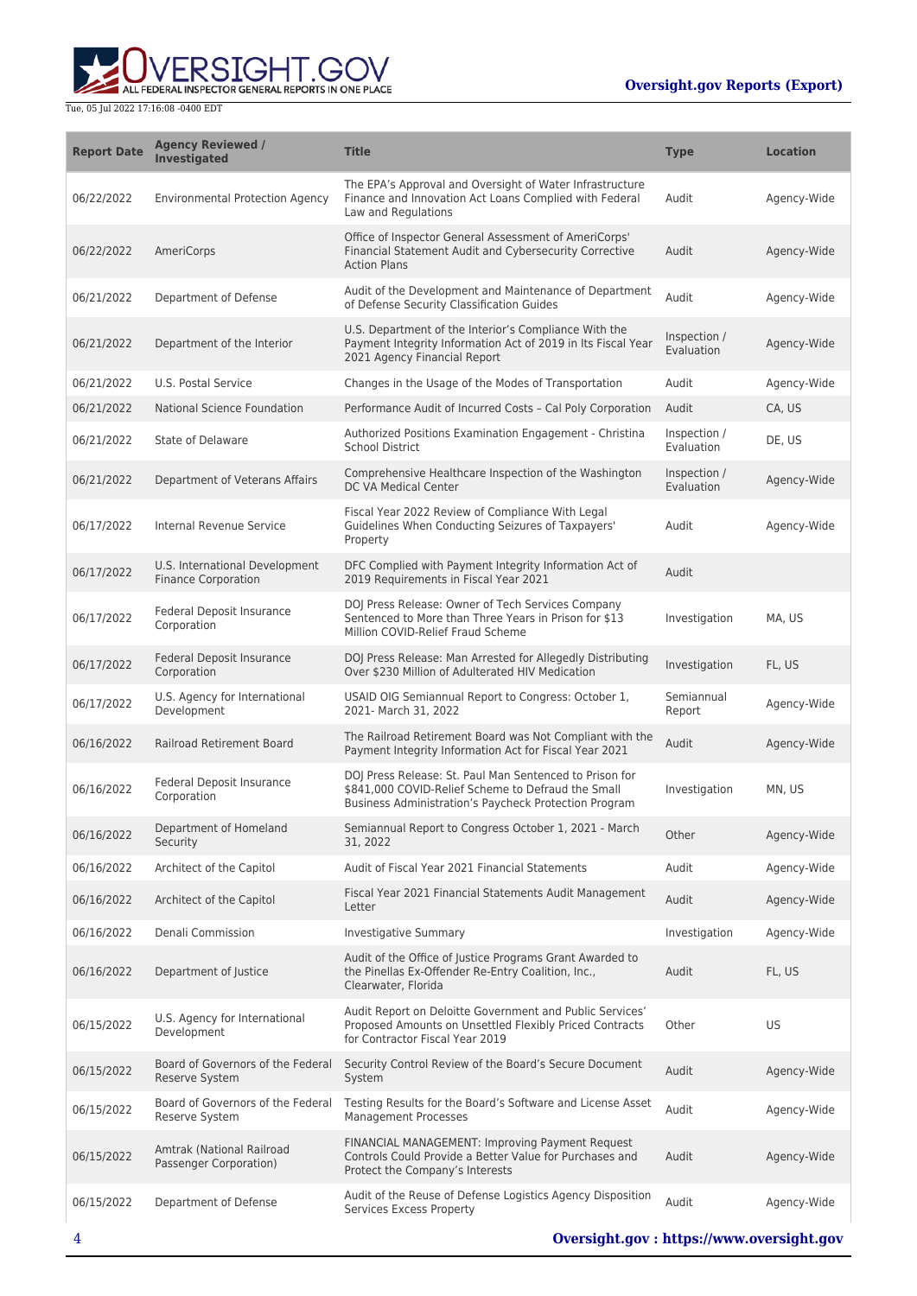ALL FEDERAL INSPECTOR GENERAL REPORTS IN ONE PLACE

| <b>Report Date</b> | <b>Agency Reviewed /</b><br><b>Investigated</b>              | <b>Title</b>                                                                                                                                                           | <b>Type</b>                | <b>Location</b> |
|--------------------|--------------------------------------------------------------|------------------------------------------------------------------------------------------------------------------------------------------------------------------------|----------------------------|-----------------|
| 06/22/2022         | <b>Environmental Protection Agency</b>                       | The EPA's Approval and Oversight of Water Infrastructure<br>Finance and Innovation Act Loans Complied with Federal<br>Law and Regulations                              | Audit                      | Agency-Wide     |
| 06/22/2022         | AmeriCorps                                                   | Office of Inspector General Assessment of AmeriCorps'<br>Financial Statement Audit and Cybersecurity Corrective<br><b>Action Plans</b>                                 | Audit                      | Agency-Wide     |
| 06/21/2022         | Department of Defense                                        | Audit of the Development and Maintenance of Department<br>of Defense Security Classification Guides                                                                    | Audit                      | Agency-Wide     |
| 06/21/2022         | Department of the Interior                                   | U.S. Department of the Interior's Compliance With the<br>Payment Integrity Information Act of 2019 in Its Fiscal Year<br>2021 Agency Financial Report                  | Inspection /<br>Evaluation | Agency-Wide     |
| 06/21/2022         | U.S. Postal Service                                          | Changes in the Usage of the Modes of Transportation                                                                                                                    | Audit                      | Agency-Wide     |
| 06/21/2022         | National Science Foundation                                  | Performance Audit of Incurred Costs - Cal Poly Corporation                                                                                                             | Audit                      | CA, US          |
| 06/21/2022         | State of Delaware                                            | Authorized Positions Examination Engagement - Christina<br>School District                                                                                             | Inspection /<br>Evaluation | DE, US          |
| 06/21/2022         | Department of Veterans Affairs                               | Comprehensive Healthcare Inspection of the Washington<br>DC VA Medical Center                                                                                          | Inspection /<br>Evaluation | Agency-Wide     |
| 06/17/2022         | Internal Revenue Service                                     | Fiscal Year 2022 Review of Compliance With Legal<br>Guidelines When Conducting Seizures of Taxpayers'<br>Property                                                      | Audit                      | Agency-Wide     |
| 06/17/2022         | U.S. International Development<br><b>Finance Corporation</b> | DFC Complied with Payment Integrity Information Act of<br>2019 Requirements in Fiscal Year 2021                                                                        | Audit                      |                 |
| 06/17/2022         | Federal Deposit Insurance<br>Corporation                     | DOJ Press Release: Owner of Tech Services Company<br>Sentenced to More than Three Years in Prison for \$13<br>Million COVID-Relief Fraud Scheme                        | Investigation              | MA, US          |
| 06/17/2022         | Federal Deposit Insurance<br>Corporation                     | DOJ Press Release: Man Arrested for Allegedly Distributing<br>Over \$230 Million of Adulterated HIV Medication                                                         | Investigation              | FL, US          |
| 06/17/2022         | U.S. Agency for International<br>Development                 | USAID OIG Semiannual Report to Congress: October 1,<br>2021- March 31, 2022                                                                                            | Semiannual<br>Report       | Agency-Wide     |
| 06/16/2022         | <b>Railroad Retirement Board</b>                             | The Railroad Retirement Board was Not Compliant with the<br>Payment Integrity Information Act for Fiscal Year 2021                                                     | Audit                      | Agency-Wide     |
| 06/16/2022         | Federal Deposit Insurance<br>Corporation                     | DOJ Press Release: St. Paul Man Sentenced to Prison for<br>\$841,000 COVID-Relief Scheme to Defraud the Small<br>Business Administration's Paycheck Protection Program | Investigation              | MN, US          |
| 06/16/2022         | Department of Homeland<br>Security                           | Semiannual Report to Congress October 1, 2021 - March<br>31, 2022                                                                                                      | Other                      | Agency-Wide     |
| 06/16/2022         | Architect of the Capitol                                     | Audit of Fiscal Year 2021 Financial Statements                                                                                                                         | Audit                      | Agency-Wide     |
| 06/16/2022         | Architect of the Capitol                                     | Fiscal Year 2021 Financial Statements Audit Management<br>Letter                                                                                                       | Audit                      | Agency-Wide     |
| 06/16/2022         | Denali Commission                                            | <b>Investigative Summary</b>                                                                                                                                           | Investigation              | Agency-Wide     |
| 06/16/2022         | Department of Justice                                        | Audit of the Office of Justice Programs Grant Awarded to<br>the Pinellas Ex-Offender Re-Entry Coalition, Inc.,<br>Clearwater, Florida                                  | Audit                      | FL, US          |
| 06/15/2022         | U.S. Agency for International<br>Development                 | Audit Report on Deloitte Government and Public Services'<br>Proposed Amounts on Unsettled Flexibly Priced Contracts<br>for Contractor Fiscal Year 2019                 | Other                      | US              |
| 06/15/2022         | Board of Governors of the Federal<br><b>Reserve System</b>   | Security Control Review of the Board's Secure Document<br>System                                                                                                       | Audit                      | Agency-Wide     |
| 06/15/2022         | Board of Governors of the Federal<br>Reserve System          | Testing Results for the Board's Software and License Asset<br><b>Management Processes</b>                                                                              | Audit                      | Agency-Wide     |
| 06/15/2022         | Amtrak (National Railroad<br>Passenger Corporation)          | FINANCIAL MANAGEMENT: Improving Payment Request<br>Controls Could Provide a Better Value for Purchases and<br>Protect the Company's Interests                          | Audit                      | Agency-Wide     |
| 06/15/2022         | Department of Defense                                        | Audit of the Reuse of Defense Logistics Agency Disposition<br>Services Excess Property                                                                                 | Audit                      | Agency-Wide     |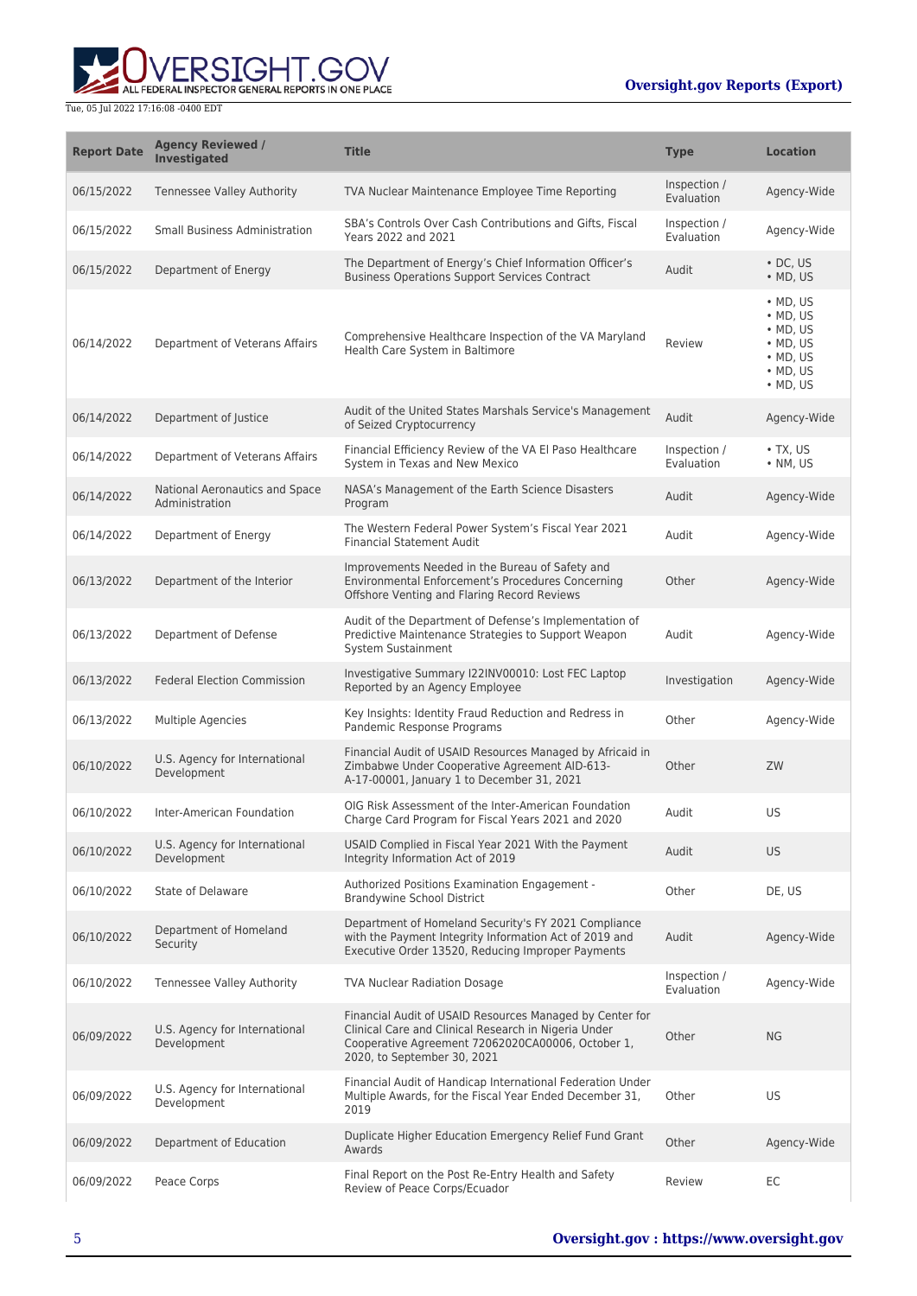

| <b>Report Date</b> | <b>Agency Reviewed /</b><br><b>Investigated</b>  | <b>Title</b>                                                                                                                                                                                         | <b>Type</b>                | <b>Location</b>                                                                                                                    |
|--------------------|--------------------------------------------------|------------------------------------------------------------------------------------------------------------------------------------------------------------------------------------------------------|----------------------------|------------------------------------------------------------------------------------------------------------------------------------|
| 06/15/2022         | <b>Tennessee Valley Authority</b>                | TVA Nuclear Maintenance Employee Time Reporting                                                                                                                                                      | Inspection /<br>Evaluation | Agency-Wide                                                                                                                        |
| 06/15/2022         | <b>Small Business Administration</b>             | SBA's Controls Over Cash Contributions and Gifts, Fiscal<br>Years 2022 and 2021                                                                                                                      | Inspection /<br>Evaluation | Agency-Wide                                                                                                                        |
| 06/15/2022         | Department of Energy                             | The Department of Energy's Chief Information Officer's<br><b>Business Operations Support Services Contract</b>                                                                                       | Audit                      | $\cdot$ DC, US<br>$\bullet$ MD, US                                                                                                 |
| 06/14/2022         | Department of Veterans Affairs                   | Comprehensive Healthcare Inspection of the VA Maryland<br>Health Care System in Baltimore                                                                                                            | Review                     | $·$ MD, US<br>$\bullet$ MD, US<br>$\bullet$ MD, US<br>$\bullet$ MD, US<br>$\bullet$ MD, US<br>$\bullet$ MD, US<br>$\bullet$ MD, US |
| 06/14/2022         | Department of Justice                            | Audit of the United States Marshals Service's Management<br>of Seized Cryptocurrency                                                                                                                 | Audit                      | Agency-Wide                                                                                                                        |
| 06/14/2022         | Department of Veterans Affairs                   | Financial Efficiency Review of the VA El Paso Healthcare<br>System in Texas and New Mexico                                                                                                           | Inspection /<br>Evaluation | $\bullet$ TX, US<br>$\cdot$ NM, US                                                                                                 |
| 06/14/2022         | National Aeronautics and Space<br>Administration | NASA's Management of the Earth Science Disasters<br>Program                                                                                                                                          | Audit                      | Agency-Wide                                                                                                                        |
| 06/14/2022         | Department of Energy                             | The Western Federal Power System's Fiscal Year 2021<br><b>Financial Statement Audit</b>                                                                                                              | Audit                      | Agency-Wide                                                                                                                        |
| 06/13/2022         | Department of the Interior                       | Improvements Needed in the Bureau of Safety and<br>Environmental Enforcement's Procedures Concerning<br>Offshore Venting and Flaring Record Reviews                                                  | Other                      | Agency-Wide                                                                                                                        |
| 06/13/2022         | Department of Defense                            | Audit of the Department of Defense's Implementation of<br>Predictive Maintenance Strategies to Support Weapon<br>System Sustainment                                                                  | Audit                      | Agency-Wide                                                                                                                        |
| 06/13/2022         | <b>Federal Election Commission</b>               | Investigative Summary I22INV00010: Lost FEC Laptop<br>Reported by an Agency Employee                                                                                                                 | Investigation              | Agency-Wide                                                                                                                        |
| 06/13/2022         | Multiple Agencies                                | Key Insights: Identity Fraud Reduction and Redress in<br>Pandemic Response Programs                                                                                                                  | Other                      | Agency-Wide                                                                                                                        |
| 06/10/2022         | U.S. Agency for International<br>Development     | Financial Audit of USAID Resources Managed by Africaid in<br>Zimbabwe Under Cooperative Agreement AID-613-<br>A-17-00001, January 1 to December 31, 2021                                             | Other                      | ZW                                                                                                                                 |
| 06/10/2022         | Inter-American Foundation                        | OIG Risk Assessment of the Inter-American Foundation<br>Charge Card Program for Fiscal Years 2021 and 2020                                                                                           | Audit                      | US                                                                                                                                 |
| 06/10/2022         | U.S. Agency for International<br>Development     | USAID Complied in Fiscal Year 2021 With the Payment<br>Integrity Information Act of 2019                                                                                                             | Audit                      | <b>US</b>                                                                                                                          |
| 06/10/2022         | State of Delaware                                | Authorized Positions Examination Engagement -<br><b>Brandywine School District</b>                                                                                                                   | Other                      | DE, US                                                                                                                             |
| 06/10/2022         | Department of Homeland<br>Security               | Department of Homeland Security's FY 2021 Compliance<br>with the Payment Integrity Information Act of 2019 and<br>Executive Order 13520, Reducing Improper Payments                                  | Audit                      | Agency-Wide                                                                                                                        |
| 06/10/2022         | <b>Tennessee Valley Authority</b>                | <b>TVA Nuclear Radiation Dosage</b>                                                                                                                                                                  | Inspection /<br>Evaluation | Agency-Wide                                                                                                                        |
| 06/09/2022         | U.S. Agency for International<br>Development     | Financial Audit of USAID Resources Managed by Center for<br>Clinical Care and Clinical Research in Nigeria Under<br>Cooperative Agreement 72062020CA00006, October 1,<br>2020, to September 30, 2021 | Other                      | <b>NG</b>                                                                                                                          |
| 06/09/2022         | U.S. Agency for International<br>Development     | Financial Audit of Handicap International Federation Under<br>Multiple Awards, for the Fiscal Year Ended December 31,<br>2019                                                                        | Other                      | US                                                                                                                                 |
| 06/09/2022         | Department of Education                          | Duplicate Higher Education Emergency Relief Fund Grant<br>Awards                                                                                                                                     | Other                      | Agency-Wide                                                                                                                        |
| 06/09/2022         | Peace Corps                                      | Final Report on the Post Re-Entry Health and Safety<br>Review of Peace Corps/Ecuador                                                                                                                 | Review                     | EC                                                                                                                                 |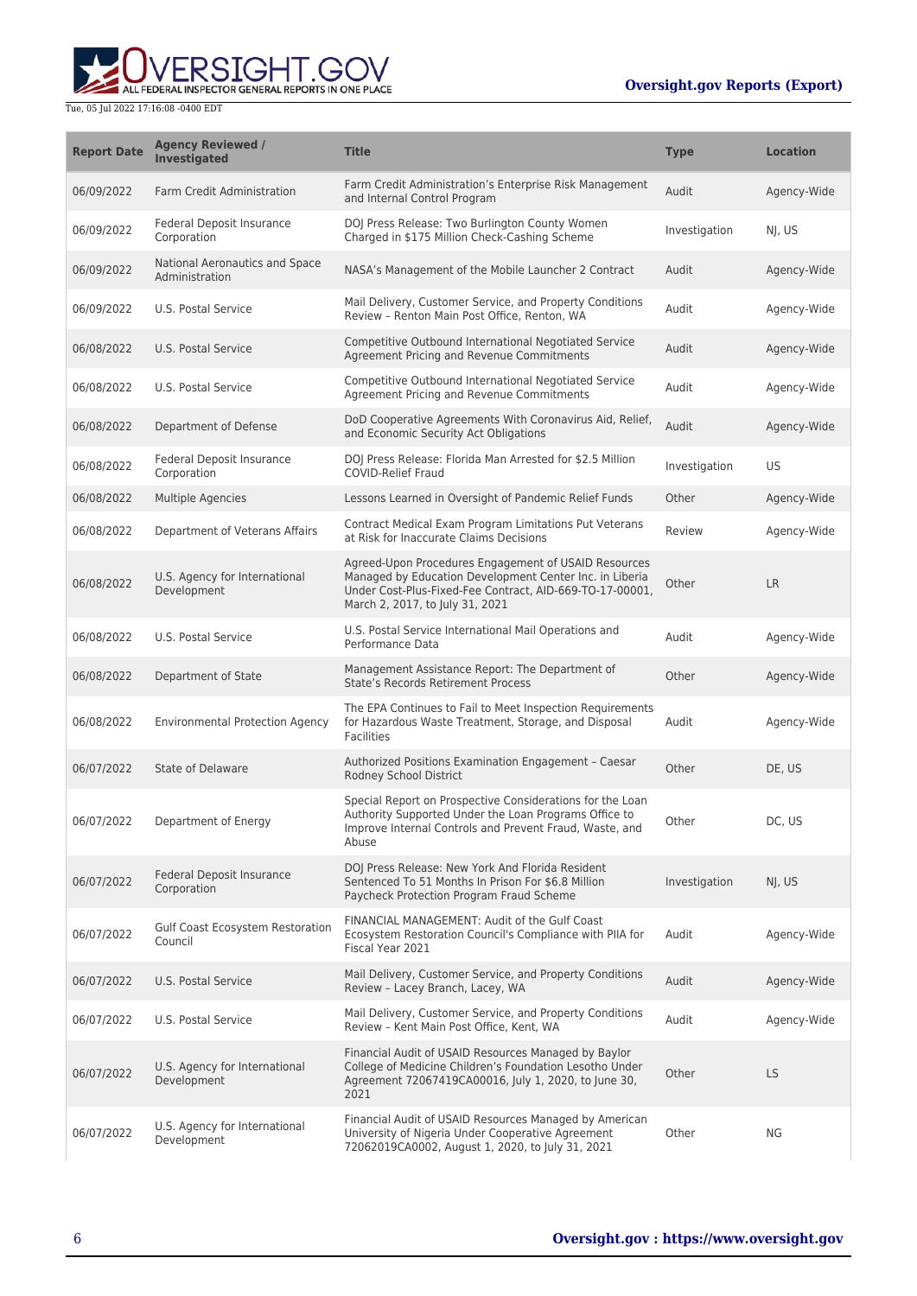

| <b>Report Date</b> | <b>Agency Reviewed /</b><br><b>Investigated</b>  | <b>Title</b>                                                                                                                                                                                                   | <b>Type</b>   | <b>Location</b> |
|--------------------|--------------------------------------------------|----------------------------------------------------------------------------------------------------------------------------------------------------------------------------------------------------------------|---------------|-----------------|
| 06/09/2022         | <b>Farm Credit Administration</b>                | Farm Credit Administration's Enterprise Risk Management<br>and Internal Control Program                                                                                                                        | Audit         | Agency-Wide     |
| 06/09/2022         | Federal Deposit Insurance<br>Corporation         | DOJ Press Release: Two Burlington County Women<br>Charged in \$175 Million Check-Cashing Scheme                                                                                                                | Investigation | NJ, US          |
| 06/09/2022         | National Aeronautics and Space<br>Administration | NASA's Management of the Mobile Launcher 2 Contract                                                                                                                                                            | Audit         | Agency-Wide     |
| 06/09/2022         | U.S. Postal Service                              | Mail Delivery, Customer Service, and Property Conditions<br>Review - Renton Main Post Office, Renton, WA                                                                                                       | Audit         | Agency-Wide     |
| 06/08/2022         | U.S. Postal Service                              | Competitive Outbound International Negotiated Service<br>Agreement Pricing and Revenue Commitments                                                                                                             | Audit         | Agency-Wide     |
| 06/08/2022         | U.S. Postal Service                              | Competitive Outbound International Negotiated Service<br>Agreement Pricing and Revenue Commitments                                                                                                             | Audit         | Agency-Wide     |
| 06/08/2022         | Department of Defense                            | DoD Cooperative Agreements With Coronavirus Aid, Relief,<br>and Economic Security Act Obligations                                                                                                              | Audit         | Agency-Wide     |
| 06/08/2022         | Federal Deposit Insurance<br>Corporation         | DOJ Press Release: Florida Man Arrested for \$2.5 Million<br><b>COVID-Relief Fraud</b>                                                                                                                         | Investigation | US              |
| 06/08/2022         | <b>Multiple Agencies</b>                         | Lessons Learned in Oversight of Pandemic Relief Funds                                                                                                                                                          | Other         | Agency-Wide     |
| 06/08/2022         | Department of Veterans Affairs                   | Contract Medical Exam Program Limitations Put Veterans<br>at Risk for Inaccurate Claims Decisions                                                                                                              | Review        | Agency-Wide     |
| 06/08/2022         | U.S. Agency for International<br>Development     | Agreed-Upon Procedures Engagement of USAID Resources<br>Managed by Education Development Center Inc. in Liberia<br>Under Cost-Plus-Fixed-Fee Contract, AID-669-TO-17-00001,<br>March 2, 2017, to July 31, 2021 | Other         | <b>LR</b>       |
| 06/08/2022         | U.S. Postal Service                              | U.S. Postal Service International Mail Operations and<br>Performance Data                                                                                                                                      | Audit         | Agency-Wide     |
| 06/08/2022         | Department of State                              | Management Assistance Report: The Department of<br><b>State's Records Retirement Process</b>                                                                                                                   | Other         | Agency-Wide     |
| 06/08/2022         | <b>Environmental Protection Agency</b>           | The EPA Continues to Fail to Meet Inspection Requirements<br>for Hazardous Waste Treatment, Storage, and Disposal<br><b>Facilities</b>                                                                         | Audit         | Agency-Wide     |
| 06/07/2022         | State of Delaware                                | Authorized Positions Examination Engagement - Caesar<br>Rodney School District                                                                                                                                 | Other         | DE, US          |
| 06/07/2022         | Department of Energy                             | Special Report on Prospective Considerations for the Loan<br>Authority Supported Under the Loan Programs Office to<br>Improve Internal Controls and Prevent Fraud, Waste, and<br>Abuse                         | Other         | DC, US          |
| 06/07/2022         | <b>Federal Deposit Insurance</b><br>Corporation  | DOJ Press Release: New York And Florida Resident<br>Sentenced To 51 Months In Prison For \$6.8 Million<br>Paycheck Protection Program Fraud Scheme                                                             | Investigation | NJ, US          |
| 06/07/2022         | Gulf Coast Ecosystem Restoration<br>Council      | FINANCIAL MANAGEMENT: Audit of the Gulf Coast<br>Ecosystem Restoration Council's Compliance with PIIA for<br>Fiscal Year 2021                                                                                  | Audit         | Agency-Wide     |
| 06/07/2022         | U.S. Postal Service                              | Mail Delivery, Customer Service, and Property Conditions<br>Review - Lacey Branch, Lacey, WA                                                                                                                   | Audit         | Agency-Wide     |
| 06/07/2022         | U.S. Postal Service                              | Mail Delivery, Customer Service, and Property Conditions<br>Review - Kent Main Post Office, Kent, WA                                                                                                           | Audit         | Agency-Wide     |
| 06/07/2022         | U.S. Agency for International<br>Development     | Financial Audit of USAID Resources Managed by Baylor<br>College of Medicine Children's Foundation Lesotho Under<br>Agreement 72067419CA00016, July 1, 2020, to June 30,<br>2021                                | Other         | LS              |
| 06/07/2022         | U.S. Agency for International<br>Development     | Financial Audit of USAID Resources Managed by American<br>University of Nigeria Under Cooperative Agreement<br>72062019CA0002, August 1, 2020, to July 31, 2021                                                | Other         | ΝG              |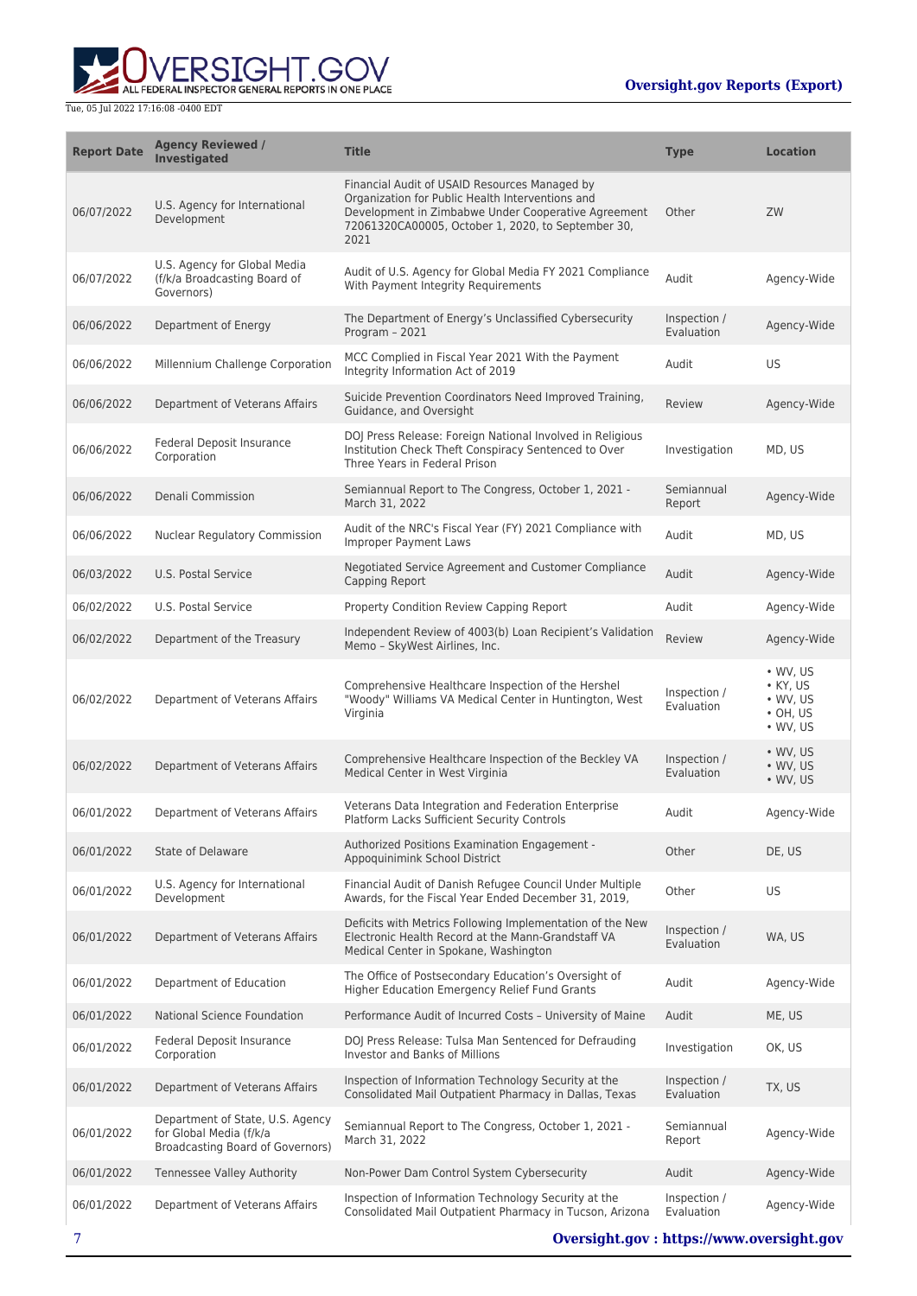

| <b>Report Date</b> | <b>Agency Reviewed /</b><br><b>Investigated</b>                                                 | <b>Title</b>                                                                                                                                                                                                           | <b>Type</b>                | <b>Location</b>                                                                                |
|--------------------|-------------------------------------------------------------------------------------------------|------------------------------------------------------------------------------------------------------------------------------------------------------------------------------------------------------------------------|----------------------------|------------------------------------------------------------------------------------------------|
| 06/07/2022         | U.S. Agency for International<br>Development                                                    | Financial Audit of USAID Resources Managed by<br>Organization for Public Health Interventions and<br>Development in Zimbabwe Under Cooperative Agreement<br>72061320CA00005, October 1, 2020, to September 30,<br>2021 | Other                      | ZW                                                                                             |
| 06/07/2022         | U.S. Agency for Global Media<br>(f/k/a Broadcasting Board of<br>Governors)                      | Audit of U.S. Agency for Global Media FY 2021 Compliance<br>With Payment Integrity Requirements                                                                                                                        | Audit                      | Agency-Wide                                                                                    |
| 06/06/2022         | Department of Energy                                                                            | The Department of Energy's Unclassified Cybersecurity<br>Program - 2021                                                                                                                                                | Inspection /<br>Evaluation | Agency-Wide                                                                                    |
| 06/06/2022         | Millennium Challenge Corporation                                                                | MCC Complied in Fiscal Year 2021 With the Payment<br>Integrity Information Act of 2019                                                                                                                                 | Audit                      | US                                                                                             |
| 06/06/2022         | Department of Veterans Affairs                                                                  | Suicide Prevention Coordinators Need Improved Training,<br>Guidance, and Oversight                                                                                                                                     | Review                     | Agency-Wide                                                                                    |
| 06/06/2022         | Federal Deposit Insurance<br>Corporation                                                        | DOJ Press Release: Foreign National Involved in Religious<br>Institution Check Theft Conspiracy Sentenced to Over<br>Three Years in Federal Prison                                                                     | Investigation              | MD, US                                                                                         |
| 06/06/2022         | Denali Commission                                                                               | Semiannual Report to The Congress, October 1, 2021 -<br>March 31, 2022                                                                                                                                                 | Semiannual<br>Report       | Agency-Wide                                                                                    |
| 06/06/2022         | <b>Nuclear Regulatory Commission</b>                                                            | Audit of the NRC's Fiscal Year (FY) 2021 Compliance with<br><b>Improper Payment Laws</b>                                                                                                                               | Audit                      | MD, US                                                                                         |
| 06/03/2022         | U.S. Postal Service                                                                             | Negotiated Service Agreement and Customer Compliance<br>Capping Report                                                                                                                                                 | Audit                      | Agency-Wide                                                                                    |
| 06/02/2022         | U.S. Postal Service                                                                             | Property Condition Review Capping Report                                                                                                                                                                               | Audit                      | Agency-Wide                                                                                    |
| 06/02/2022         | Department of the Treasury                                                                      | Independent Review of 4003(b) Loan Recipient's Validation<br>Memo - SkyWest Airlines, Inc.                                                                                                                             | Review                     | Agency-Wide                                                                                    |
| 06/02/2022         | Department of Veterans Affairs                                                                  | Comprehensive Healthcare Inspection of the Hershel<br>"Woody" Williams VA Medical Center in Huntington, West<br>Virginia                                                                                               | Inspection /<br>Evaluation | $\bullet$ WV, US<br>$\bullet$ KY, US<br>$\bullet$ WV, US<br>$\cdot$ OH, US<br>$\bullet$ WV, US |
| 06/02/2022         | Department of Veterans Affairs                                                                  | Comprehensive Healthcare Inspection of the Beckley VA<br>Medical Center in West Virginia                                                                                                                               | Inspection /<br>Evaluation | $\bullet$ WV, US<br>$\bullet$ WV, US<br>$\bullet$ WV, US                                       |
| 06/01/2022         | Department of Veterans Affairs                                                                  | Veterans Data Integration and Federation Enterprise<br>Platform Lacks Sufficient Security Controls                                                                                                                     | Audit                      | Agency-Wide                                                                                    |
| 06/01/2022         | State of Delaware                                                                               | Authorized Positions Examination Engagement -<br>Appoquinimink School District                                                                                                                                         | Other                      | DE, US                                                                                         |
| 06/01/2022         | U.S. Agency for International<br>Development                                                    | Financial Audit of Danish Refugee Council Under Multiple<br>Awards, for the Fiscal Year Ended December 31, 2019,                                                                                                       | Other                      | US                                                                                             |
| 06/01/2022         | Department of Veterans Affairs                                                                  | Deficits with Metrics Following Implementation of the New<br>Electronic Health Record at the Mann-Grandstaff VA<br>Medical Center in Spokane, Washington                                                               | Inspection /<br>Evaluation | WA, US                                                                                         |
| 06/01/2022         | Department of Education                                                                         | The Office of Postsecondary Education's Oversight of<br>Higher Education Emergency Relief Fund Grants                                                                                                                  | Audit                      | Agency-Wide                                                                                    |
| 06/01/2022         | National Science Foundation                                                                     | Performance Audit of Incurred Costs - University of Maine                                                                                                                                                              | Audit                      | ME, US                                                                                         |
| 06/01/2022         | Federal Deposit Insurance<br>Corporation                                                        | DOJ Press Release: Tulsa Man Sentenced for Defrauding<br>Investor and Banks of Millions                                                                                                                                | Investigation              | OK, US                                                                                         |
| 06/01/2022         | Department of Veterans Affairs                                                                  | Inspection of Information Technology Security at the<br>Consolidated Mail Outpatient Pharmacy in Dallas, Texas                                                                                                         | Inspection /<br>Evaluation | TX, US                                                                                         |
| 06/01/2022         | Department of State, U.S. Agency<br>for Global Media (f/k/a<br>Broadcasting Board of Governors) | Semiannual Report to The Congress, October 1, 2021 -<br>March 31, 2022                                                                                                                                                 | Semiannual<br>Report       | Agency-Wide                                                                                    |
| 06/01/2022         | <b>Tennessee Valley Authority</b>                                                               | Non-Power Dam Control System Cybersecurity                                                                                                                                                                             | Audit                      | Agency-Wide                                                                                    |
| 06/01/2022         | Department of Veterans Affairs                                                                  | Inspection of Information Technology Security at the<br>Consolidated Mail Outpatient Pharmacy in Tucson, Arizona                                                                                                       | Inspection /<br>Evaluation | Agency-Wide                                                                                    |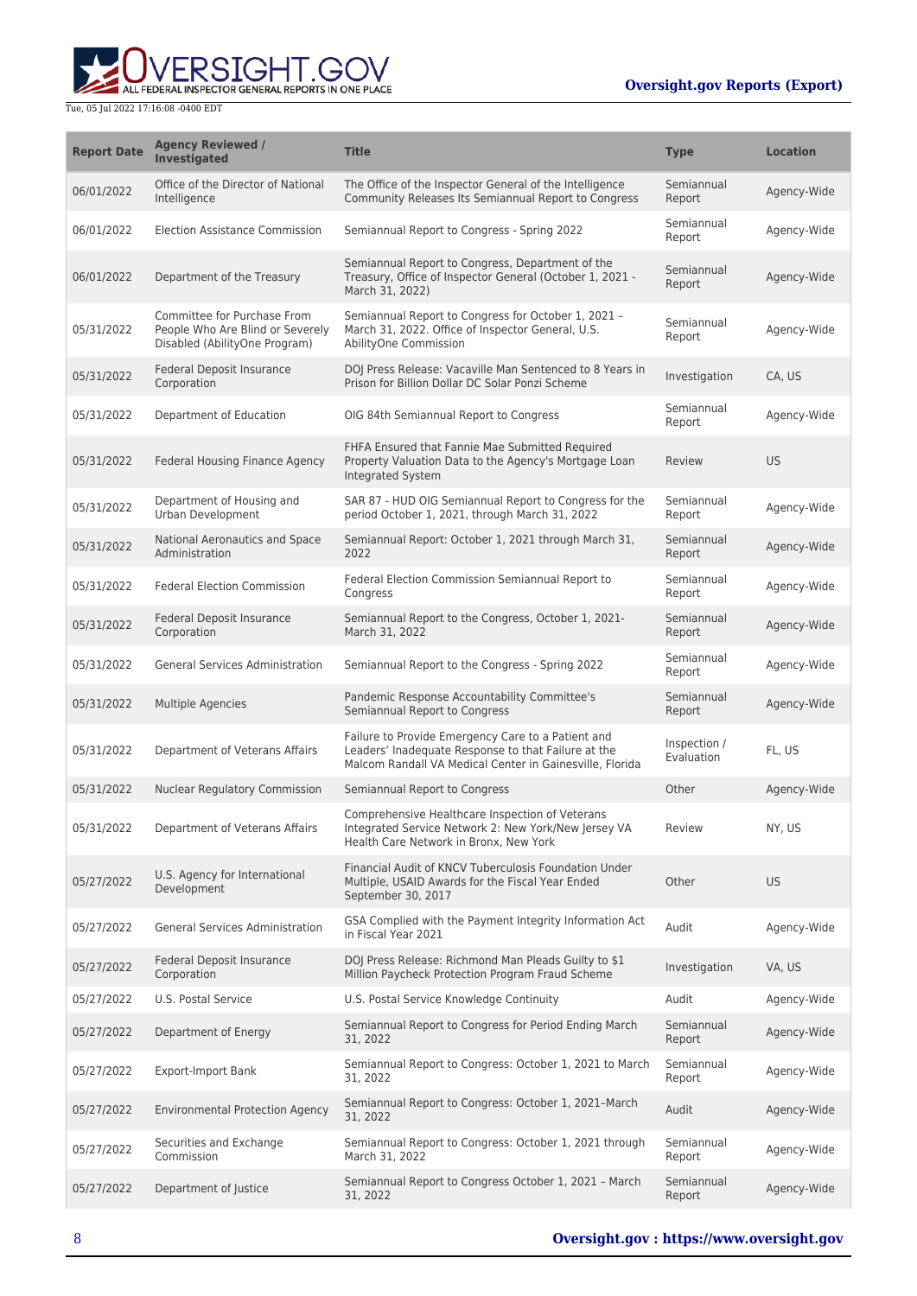

| <b>Report Date</b> | <b>Agency Reviewed /</b><br>Investigated                                                         | <b>Title</b>                                                                                                                                                          | <b>Type</b>                | <b>Location</b> |
|--------------------|--------------------------------------------------------------------------------------------------|-----------------------------------------------------------------------------------------------------------------------------------------------------------------------|----------------------------|-----------------|
| 06/01/2022         | Office of the Director of National<br>Intelligence                                               | The Office of the Inspector General of the Intelligence<br>Community Releases Its Semiannual Report to Congress                                                       | Semiannual<br>Report       | Agency-Wide     |
| 06/01/2022         | <b>Election Assistance Commission</b>                                                            | Semiannual Report to Congress - Spring 2022                                                                                                                           | Semiannual<br>Report       | Agency-Wide     |
| 06/01/2022         | Department of the Treasury                                                                       | Semiannual Report to Congress, Department of the<br>Treasury, Office of Inspector General (October 1, 2021 -<br>March 31, 2022)                                       | Semiannual<br>Report       | Agency-Wide     |
| 05/31/2022         | Committee for Purchase From<br>People Who Are Blind or Severely<br>Disabled (AbilityOne Program) | Semiannual Report to Congress for October 1, 2021 -<br>March 31, 2022. Office of Inspector General, U.S.<br>AbilityOne Commission                                     | Semiannual<br>Report       | Agency-Wide     |
| 05/31/2022         | Federal Deposit Insurance<br>Corporation                                                         | DOJ Press Release: Vacaville Man Sentenced to 8 Years in<br>Prison for Billion Dollar DC Solar Ponzi Scheme                                                           | Investigation              | CA, US          |
| 05/31/2022         | Department of Education                                                                          | OIG 84th Semiannual Report to Congress                                                                                                                                | Semiannual<br>Report       | Agency-Wide     |
| 05/31/2022         | Federal Housing Finance Agency                                                                   | FHFA Ensured that Fannie Mae Submitted Required<br>Property Valuation Data to the Agency's Mortgage Loan<br>Integrated System                                         | Review                     | <b>US</b>       |
| 05/31/2022         | Department of Housing and<br>Urban Development                                                   | SAR 87 - HUD OIG Semiannual Report to Congress for the<br>period October 1, 2021, through March 31, 2022                                                              | Semiannual<br>Report       | Agency-Wide     |
| 05/31/2022         | National Aeronautics and Space<br>Administration                                                 | Semiannual Report: October 1, 2021 through March 31,<br>2022                                                                                                          | Semiannual<br>Report       | Agency-Wide     |
| 05/31/2022         | <b>Federal Election Commission</b>                                                               | Federal Election Commission Semiannual Report to<br>Congress                                                                                                          | Semiannual<br>Report       | Agency-Wide     |
| 05/31/2022         | Federal Deposit Insurance<br>Corporation                                                         | Semiannual Report to the Congress, October 1, 2021-<br>March 31, 2022                                                                                                 | Semiannual<br>Report       | Agency-Wide     |
| 05/31/2022         | General Services Administration                                                                  | Semiannual Report to the Congress - Spring 2022                                                                                                                       | Semiannual<br>Report       | Agency-Wide     |
| 05/31/2022         | <b>Multiple Agencies</b>                                                                         | Pandemic Response Accountability Committee's<br>Semiannual Report to Congress                                                                                         | Semiannual<br>Report       | Agency-Wide     |
| 05/31/2022         | Department of Veterans Affairs                                                                   | Failure to Provide Emergency Care to a Patient and<br>Leaders' Inadequate Response to that Failure at the<br>Malcom Randall VA Medical Center in Gainesville, Florida | Inspection /<br>Evaluation | FL, US          |
| 05/31/2022         | Nuclear Regulatory Commission                                                                    | Semiannual Report to Congress                                                                                                                                         | Other                      | Agency-Wide     |
| 05/31/2022         | Department of Veterans Affairs                                                                   | Comprehensive Healthcare Inspection of Veterans<br>Integrated Service Network 2: New York/New Jersey VA<br>Health Care Network in Bronx, New York                     | Review                     | NY, US          |
| 05/27/2022         | U.S. Agency for International<br>Development                                                     | Financial Audit of KNCV Tuberculosis Foundation Under<br>Multiple, USAID Awards for the Fiscal Year Ended<br>September 30, 2017                                       | Other                      | <b>US</b>       |
| 05/27/2022         | <b>General Services Administration</b>                                                           | GSA Complied with the Payment Integrity Information Act<br>in Fiscal Year 2021                                                                                        | Audit                      | Agency-Wide     |
| 05/27/2022         | Federal Deposit Insurance<br>Corporation                                                         | DOJ Press Release: Richmond Man Pleads Guilty to \$1<br>Million Paycheck Protection Program Fraud Scheme                                                              | Investigation              | VA, US          |
| 05/27/2022         | U.S. Postal Service                                                                              | U.S. Postal Service Knowledge Continuity                                                                                                                              | Audit                      | Agency-Wide     |
| 05/27/2022         | Department of Energy                                                                             | Semiannual Report to Congress for Period Ending March<br>31, 2022                                                                                                     | Semiannual<br>Report       | Agency-Wide     |
| 05/27/2022         | <b>Export-Import Bank</b>                                                                        | Semiannual Report to Congress: October 1, 2021 to March<br>31, 2022                                                                                                   | Semiannual<br>Report       | Agency-Wide     |
| 05/27/2022         | <b>Environmental Protection Agency</b>                                                           | Semiannual Report to Congress: October 1, 2021-March<br>31, 2022                                                                                                      | Audit                      | Agency-Wide     |
| 05/27/2022         | Securities and Exchange<br>Commission                                                            | Semiannual Report to Congress: October 1, 2021 through<br>March 31, 2022                                                                                              | Semiannual<br>Report       | Agency-Wide     |
| 05/27/2022         | Department of Justice                                                                            | Semiannual Report to Congress October 1, 2021 - March<br>31, 2022                                                                                                     | Semiannual<br>Report       | Agency-Wide     |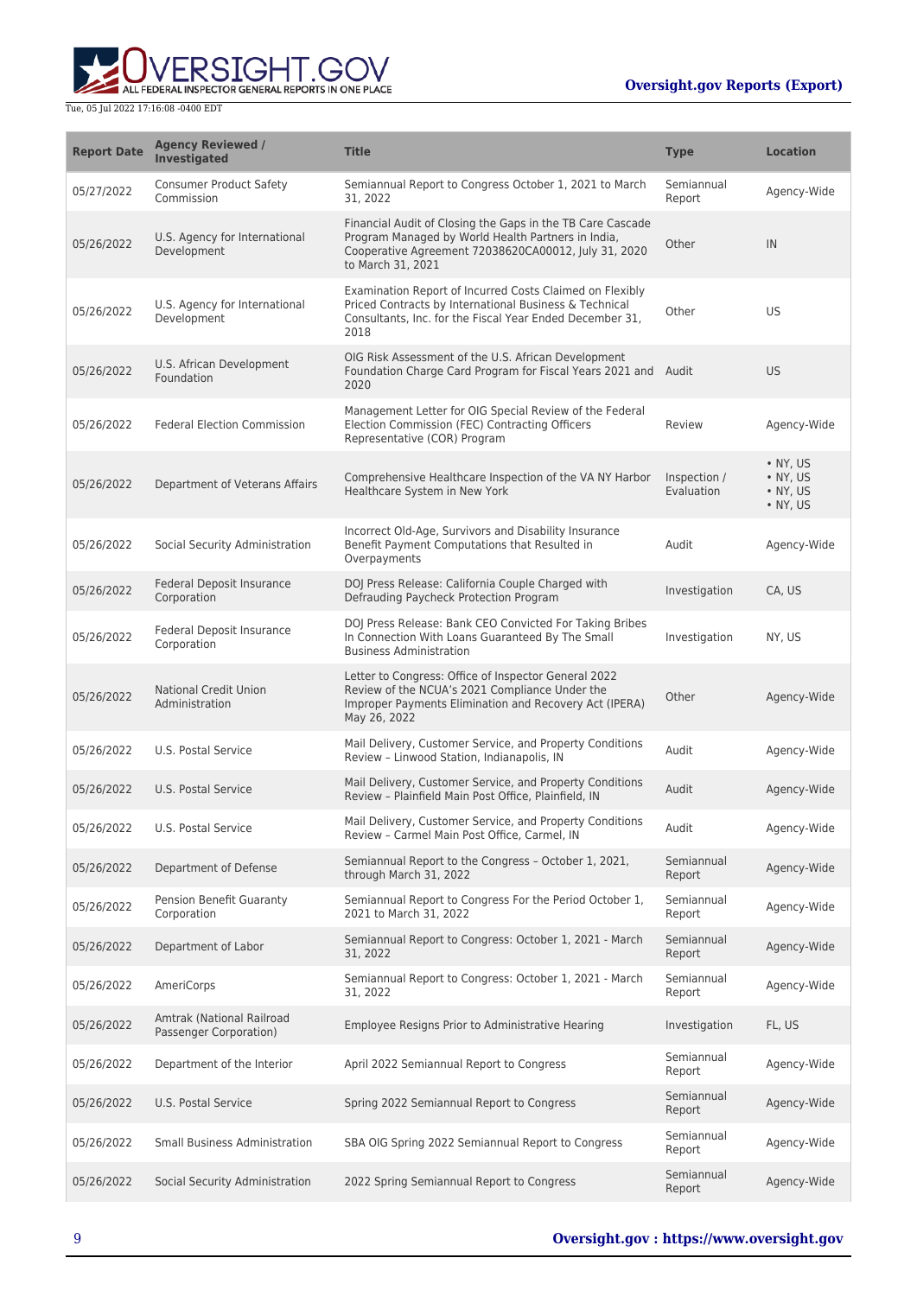

| <b>Report Date</b> | <b>Agency Reviewed /</b><br>Investigated            | <b>Title</b>                                                                                                                                                                                  | <b>Type</b>                | <b>Location</b>                                      |
|--------------------|-----------------------------------------------------|-----------------------------------------------------------------------------------------------------------------------------------------------------------------------------------------------|----------------------------|------------------------------------------------------|
| 05/27/2022         | <b>Consumer Product Safety</b><br>Commission        | Semiannual Report to Congress October 1, 2021 to March<br>31, 2022                                                                                                                            | Semiannual<br>Report       | Agency-Wide                                          |
| 05/26/2022         | U.S. Agency for International<br>Development        | Financial Audit of Closing the Gaps in the TB Care Cascade<br>Program Managed by World Health Partners in India,<br>Cooperative Agreement 72038620CA00012, July 31, 2020<br>to March 31, 2021 | Other                      | IN                                                   |
| 05/26/2022         | U.S. Agency for International<br>Development        | Examination Report of Incurred Costs Claimed on Flexibly<br>Priced Contracts by International Business & Technical<br>Consultants, Inc. for the Fiscal Year Ended December 31,<br>2018        | Other                      | US                                                   |
| 05/26/2022         | U.S. African Development<br>Foundation              | OIG Risk Assessment of the U.S. African Development<br>Foundation Charge Card Program for Fiscal Years 2021 and Audit<br>2020                                                                 |                            | <b>US</b>                                            |
| 05/26/2022         | <b>Federal Election Commission</b>                  | Management Letter for OIG Special Review of the Federal<br>Election Commission (FEC) Contracting Officers<br>Representative (COR) Program                                                     | Review                     | Agency-Wide                                          |
| 05/26/2022         | Department of Veterans Affairs                      | Comprehensive Healthcare Inspection of the VA NY Harbor<br>Healthcare System in New York                                                                                                      | Inspection /<br>Evaluation | $\bullet$ NY, US<br>• NY, US<br>• NY, US<br>• NY, US |
| 05/26/2022         | Social Security Administration                      | Incorrect Old-Age, Survivors and Disability Insurance<br>Benefit Payment Computations that Resulted in<br>Overpayments                                                                        | Audit                      | Agency-Wide                                          |
| 05/26/2022         | Federal Deposit Insurance<br>Corporation            | DOJ Press Release: California Couple Charged with<br>Defrauding Paycheck Protection Program                                                                                                   | Investigation              | CA, US                                               |
| 05/26/2022         | Federal Deposit Insurance<br>Corporation            | DOJ Press Release: Bank CEO Convicted For Taking Bribes<br>In Connection With Loans Guaranteed By The Small<br><b>Business Administration</b>                                                 | Investigation              | NY, US                                               |
| 05/26/2022         | <b>National Credit Union</b><br>Administration      | Letter to Congress: Office of Inspector General 2022<br>Review of the NCUA's 2021 Compliance Under the<br>Improper Payments Elimination and Recovery Act (IPERA)<br>May 26, 2022              | Other                      | Agency-Wide                                          |
| 05/26/2022         | U.S. Postal Service                                 | Mail Delivery, Customer Service, and Property Conditions<br>Review - Linwood Station, Indianapolis, IN                                                                                        | Audit                      | Agency-Wide                                          |
| 05/26/2022         | U.S. Postal Service                                 | Mail Delivery, Customer Service, and Property Conditions<br>Review - Plainfield Main Post Office, Plainfield, IN                                                                              | Audit                      | Agency-Wide                                          |
| 05/26/2022         | U.S. Postal Service                                 | Mail Delivery, Customer Service, and Property Conditions<br>Review - Carmel Main Post Office, Carmel, IN                                                                                      | Audit                      | Agency-Wide                                          |
| 05/26/2022         | Department of Defense                               | Semiannual Report to the Congress - October 1, 2021,<br>through March 31, 2022                                                                                                                | Semiannual<br>Report       | Agency-Wide                                          |
| 05/26/2022         | Pension Benefit Guaranty<br>Corporation             | Semiannual Report to Congress For the Period October 1,<br>2021 to March 31, 2022                                                                                                             | Semiannual<br>Report       | Agency-Wide                                          |
| 05/26/2022         | Department of Labor                                 | Semiannual Report to Congress: October 1, 2021 - March<br>31, 2022                                                                                                                            | Semiannual<br>Report       | Agency-Wide                                          |
| 05/26/2022         | AmeriCorps                                          | Semiannual Report to Congress: October 1, 2021 - March<br>31, 2022                                                                                                                            | Semiannual<br>Report       | Agency-Wide                                          |
| 05/26/2022         | Amtrak (National Railroad<br>Passenger Corporation) | Employee Resigns Prior to Administrative Hearing                                                                                                                                              | Investigation              | FL, US                                               |
| 05/26/2022         | Department of the Interior                          | April 2022 Semiannual Report to Congress                                                                                                                                                      | Semiannual<br>Report       | Agency-Wide                                          |
| 05/26/2022         | U.S. Postal Service                                 | Spring 2022 Semiannual Report to Congress                                                                                                                                                     | Semiannual<br>Report       | Agency-Wide                                          |
| 05/26/2022         | <b>Small Business Administration</b>                | SBA OIG Spring 2022 Semiannual Report to Congress                                                                                                                                             | Semiannual<br>Report       | Agency-Wide                                          |
| 05/26/2022         | Social Security Administration                      | 2022 Spring Semiannual Report to Congress                                                                                                                                                     | Semiannual<br>Report       | Agency-Wide                                          |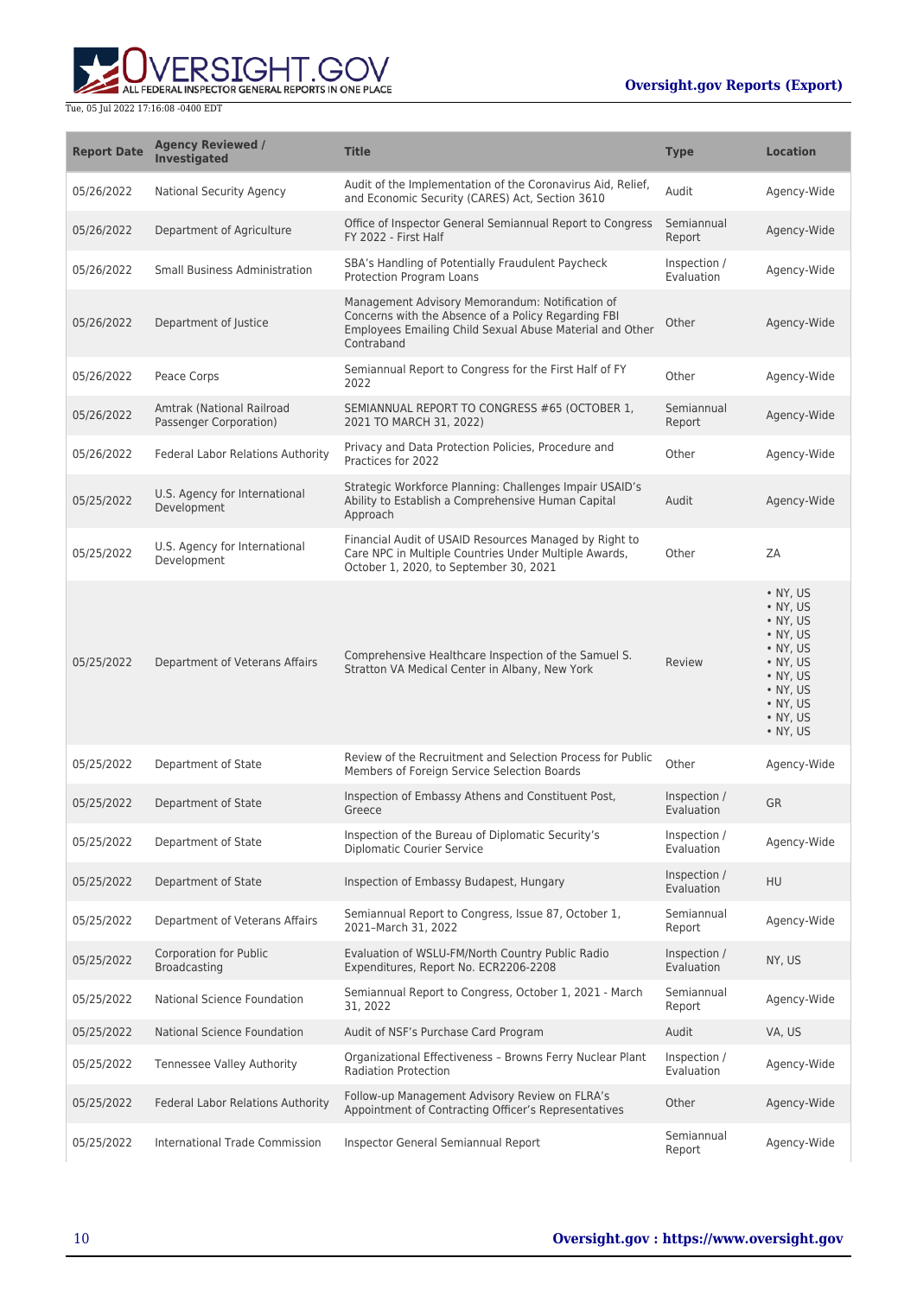

| <b>Report Date</b> | <b>Agency Reviewed /</b><br><b>Investigated</b>     | <b>Title</b>                                                                                                                                                                     | <b>Type</b>                | <b>Location</b>                                                                                                                                                          |
|--------------------|-----------------------------------------------------|----------------------------------------------------------------------------------------------------------------------------------------------------------------------------------|----------------------------|--------------------------------------------------------------------------------------------------------------------------------------------------------------------------|
| 05/26/2022         | <b>National Security Agency</b>                     | Audit of the Implementation of the Coronavirus Aid, Relief,<br>and Economic Security (CARES) Act, Section 3610                                                                   | Audit                      | Agency-Wide                                                                                                                                                              |
| 05/26/2022         | Department of Agriculture                           | Office of Inspector General Semiannual Report to Congress<br>FY 2022 - First Half                                                                                                | Semiannual<br>Report       | Agency-Wide                                                                                                                                                              |
| 05/26/2022         | <b>Small Business Administration</b>                | SBA's Handling of Potentially Fraudulent Paycheck<br>Protection Program Loans                                                                                                    | Inspection /<br>Evaluation | Agency-Wide                                                                                                                                                              |
| 05/26/2022         | Department of Justice                               | Management Advisory Memorandum: Notification of<br>Concerns with the Absence of a Policy Regarding FBI<br>Employees Emailing Child Sexual Abuse Material and Other<br>Contraband | Other                      | Agency-Wide                                                                                                                                                              |
| 05/26/2022         | Peace Corps                                         | Semiannual Report to Congress for the First Half of FY<br>2022                                                                                                                   | Other                      | Agency-Wide                                                                                                                                                              |
| 05/26/2022         | Amtrak (National Railroad<br>Passenger Corporation) | SEMIANNUAL REPORT TO CONGRESS #65 (OCTOBER 1,<br>2021 TO MARCH 31, 2022)                                                                                                         | Semiannual<br>Report       | Agency-Wide                                                                                                                                                              |
| 05/26/2022         | Federal Labor Relations Authority                   | Privacy and Data Protection Policies, Procedure and<br>Practices for 2022                                                                                                        | Other                      | Agency-Wide                                                                                                                                                              |
| 05/25/2022         | U.S. Agency for International<br>Development        | Strategic Workforce Planning: Challenges Impair USAID's<br>Ability to Establish a Comprehensive Human Capital<br>Approach                                                        | Audit                      | Agency-Wide                                                                                                                                                              |
| 05/25/2022         | U.S. Agency for International<br>Development        | Financial Audit of USAID Resources Managed by Right to<br>Care NPC in Multiple Countries Under Multiple Awards,<br>October 1, 2020, to September 30, 2021                        | Other                      | ZA                                                                                                                                                                       |
| 05/25/2022         | Department of Veterans Affairs                      | Comprehensive Healthcare Inspection of the Samuel S.<br>Stratton VA Medical Center in Albany, New York                                                                           | Review                     | • NY, US<br>• NY, US<br>$\bullet$ NY, US<br>• NY, US<br>• NY, US<br>• NY, US<br>$\bullet$ NY, US<br>$\bullet$ NY, US<br>$\bullet$ NY, US<br>$\bullet$ NY, US<br>• NY, US |
| 05/25/2022         | Department of State                                 | Review of the Recruitment and Selection Process for Public<br>Members of Foreign Service Selection Boards                                                                        | Other                      | Agency-Wide                                                                                                                                                              |
| 05/25/2022         | Department of State                                 | Inspection of Embassy Athens and Constituent Post,<br>Greece                                                                                                                     | Inspection /<br>Evaluation | <b>GR</b>                                                                                                                                                                |
| 05/25/2022         | Department of State                                 | Inspection of the Bureau of Diplomatic Security's<br>Diplomatic Courier Service                                                                                                  | Inspection /<br>Evaluation | Agency-Wide                                                                                                                                                              |
| 05/25/2022         | Department of State                                 | Inspection of Embassy Budapest, Hungary                                                                                                                                          | Inspection /<br>Evaluation | HU                                                                                                                                                                       |
| 05/25/2022         | Department of Veterans Affairs                      | Semiannual Report to Congress, Issue 87, October 1,<br>2021-March 31, 2022                                                                                                       | Semiannual<br>Report       | Agency-Wide                                                                                                                                                              |
| 05/25/2022         | <b>Corporation for Public</b><br>Broadcasting       | Evaluation of WSLU-FM/North Country Public Radio<br>Expenditures, Report No. ECR2206-2208                                                                                        | Inspection /<br>Evaluation | NY, US                                                                                                                                                                   |
| 05/25/2022         | National Science Foundation                         | Semiannual Report to Congress, October 1, 2021 - March<br>31, 2022                                                                                                               | Semiannual<br>Report       | Agency-Wide                                                                                                                                                              |
| 05/25/2022         | National Science Foundation                         | Audit of NSF's Purchase Card Program                                                                                                                                             | Audit                      | VA, US                                                                                                                                                                   |
| 05/25/2022         | Tennessee Valley Authority                          | Organizational Effectiveness - Browns Ferry Nuclear Plant<br><b>Radiation Protection</b>                                                                                         | Inspection /<br>Evaluation | Agency-Wide                                                                                                                                                              |
| 05/25/2022         | Federal Labor Relations Authority                   | Follow-up Management Advisory Review on FLRA's<br>Appointment of Contracting Officer's Representatives                                                                           | Other                      | Agency-Wide                                                                                                                                                              |
| 05/25/2022         | International Trade Commission                      | Inspector General Semiannual Report                                                                                                                                              | Semiannual<br>Report       | Agency-Wide                                                                                                                                                              |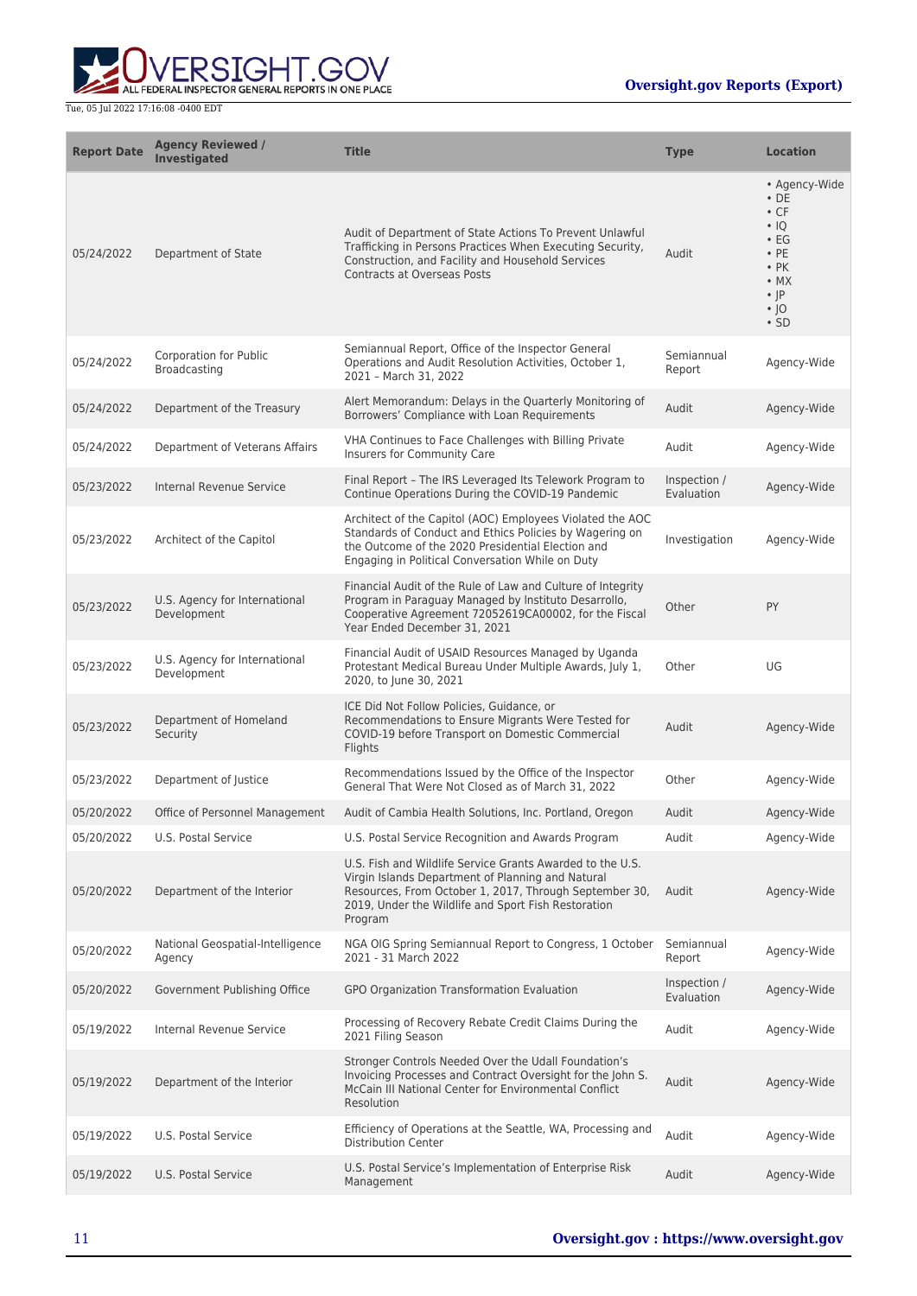

| <b>Report Date</b> | <b>Agency Reviewed /</b><br><b>Investigated</b> | <b>Title</b>                                                                                                                                                                                                                               | <b>Type</b>                | <b>Location</b>                                                                                                                                             |
|--------------------|-------------------------------------------------|--------------------------------------------------------------------------------------------------------------------------------------------------------------------------------------------------------------------------------------------|----------------------------|-------------------------------------------------------------------------------------------------------------------------------------------------------------|
| 05/24/2022         | Department of State                             | Audit of Department of State Actions To Prevent Unlawful<br>Trafficking in Persons Practices When Executing Security,<br>Construction, and Facility and Household Services<br><b>Contracts at Overseas Posts</b>                           | Audit                      | • Agency-Wide<br>$\cdot$ DE<br>$\cdot$ CF<br>$\cdot$ 10<br>$\cdot$ EG<br>$\cdot$ PE<br>$\cdot$ PK<br>$\bullet$ MX<br>$\cdot$  P<br>$\cdot$  O<br>$\cdot$ SD |
| 05/24/2022         | Corporation for Public<br>Broadcasting          | Semiannual Report, Office of the Inspector General<br>Operations and Audit Resolution Activities, October 1,<br>2021 - March 31, 2022                                                                                                      | Semiannual<br>Report       | Agency-Wide                                                                                                                                                 |
| 05/24/2022         | Department of the Treasury                      | Alert Memorandum: Delays in the Quarterly Monitoring of<br>Borrowers' Compliance with Loan Requirements                                                                                                                                    | Audit                      | Agency-Wide                                                                                                                                                 |
| 05/24/2022         | Department of Veterans Affairs                  | VHA Continues to Face Challenges with Billing Private<br>Insurers for Community Care                                                                                                                                                       | Audit                      | Agency-Wide                                                                                                                                                 |
| 05/23/2022         | Internal Revenue Service                        | Final Report - The IRS Leveraged Its Telework Program to<br>Continue Operations During the COVID-19 Pandemic                                                                                                                               | Inspection /<br>Evaluation | Agency-Wide                                                                                                                                                 |
| 05/23/2022         | Architect of the Capitol                        | Architect of the Capitol (AOC) Employees Violated the AOC<br>Standards of Conduct and Ethics Policies by Wagering on<br>the Outcome of the 2020 Presidential Election and<br>Engaging in Political Conversation While on Duty              | Investigation              | Agency-Wide                                                                                                                                                 |
| 05/23/2022         | U.S. Agency for International<br>Development    | Financial Audit of the Rule of Law and Culture of Integrity<br>Program in Paraguay Managed by Instituto Desarrollo,<br>Cooperative Agreement 72052619CA00002, for the Fiscal<br>Year Ended December 31, 2021                               | Other                      | PY                                                                                                                                                          |
| 05/23/2022         | U.S. Agency for International<br>Development    | Financial Audit of USAID Resources Managed by Uganda<br>Protestant Medical Bureau Under Multiple Awards, July 1,<br>2020, to June 30, 2021                                                                                                 | Other                      | UG                                                                                                                                                          |
| 05/23/2022         | Department of Homeland<br>Security              | ICE Did Not Follow Policies, Guidance, or<br>Recommendations to Ensure Migrants Were Tested for<br>COVID-19 before Transport on Domestic Commercial<br>Flights                                                                             | Audit                      | Agency-Wide                                                                                                                                                 |
| 05/23/2022         | Department of Justice                           | Recommendations Issued by the Office of the Inspector<br>General That Were Not Closed as of March 31, 2022                                                                                                                                 | Other                      | Agency-Wide                                                                                                                                                 |
| 05/20/2022         | Office of Personnel Management                  | Audit of Cambia Health Solutions, Inc. Portland, Oregon                                                                                                                                                                                    | Audit                      | Agency-Wide                                                                                                                                                 |
| 05/20/2022         | U.S. Postal Service                             | U.S. Postal Service Recognition and Awards Program                                                                                                                                                                                         | Audit                      | Agency-Wide                                                                                                                                                 |
| 05/20/2022         | Department of the Interior                      | U.S. Fish and Wildlife Service Grants Awarded to the U.S.<br>Virgin Islands Department of Planning and Natural<br>Resources, From October 1, 2017, Through September 30,<br>2019, Under the Wildlife and Sport Fish Restoration<br>Program | Audit                      | Agency-Wide                                                                                                                                                 |
| 05/20/2022         | National Geospatial-Intelligence<br>Agency      | NGA OIG Spring Semiannual Report to Congress, 1 October<br>2021 - 31 March 2022                                                                                                                                                            | Semiannual<br>Report       | Agency-Wide                                                                                                                                                 |
| 05/20/2022         | Government Publishing Office                    | GPO Organization Transformation Evaluation                                                                                                                                                                                                 | Inspection /<br>Evaluation | Agency-Wide                                                                                                                                                 |
| 05/19/2022         | Internal Revenue Service                        | Processing of Recovery Rebate Credit Claims During the<br>2021 Filing Season                                                                                                                                                               | Audit                      | Agency-Wide                                                                                                                                                 |
| 05/19/2022         | Department of the Interior                      | Stronger Controls Needed Over the Udall Foundation's<br>Invoicing Processes and Contract Oversight for the John S.<br>McCain III National Center for Environmental Conflict<br>Resolution                                                  | Audit                      | Agency-Wide                                                                                                                                                 |
| 05/19/2022         | U.S. Postal Service                             | Efficiency of Operations at the Seattle, WA, Processing and<br><b>Distribution Center</b>                                                                                                                                                  | Audit                      | Agency-Wide                                                                                                                                                 |
| 05/19/2022         | U.S. Postal Service                             | U.S. Postal Service's Implementation of Enterprise Risk<br>Management                                                                                                                                                                      | Audit                      | Agency-Wide                                                                                                                                                 |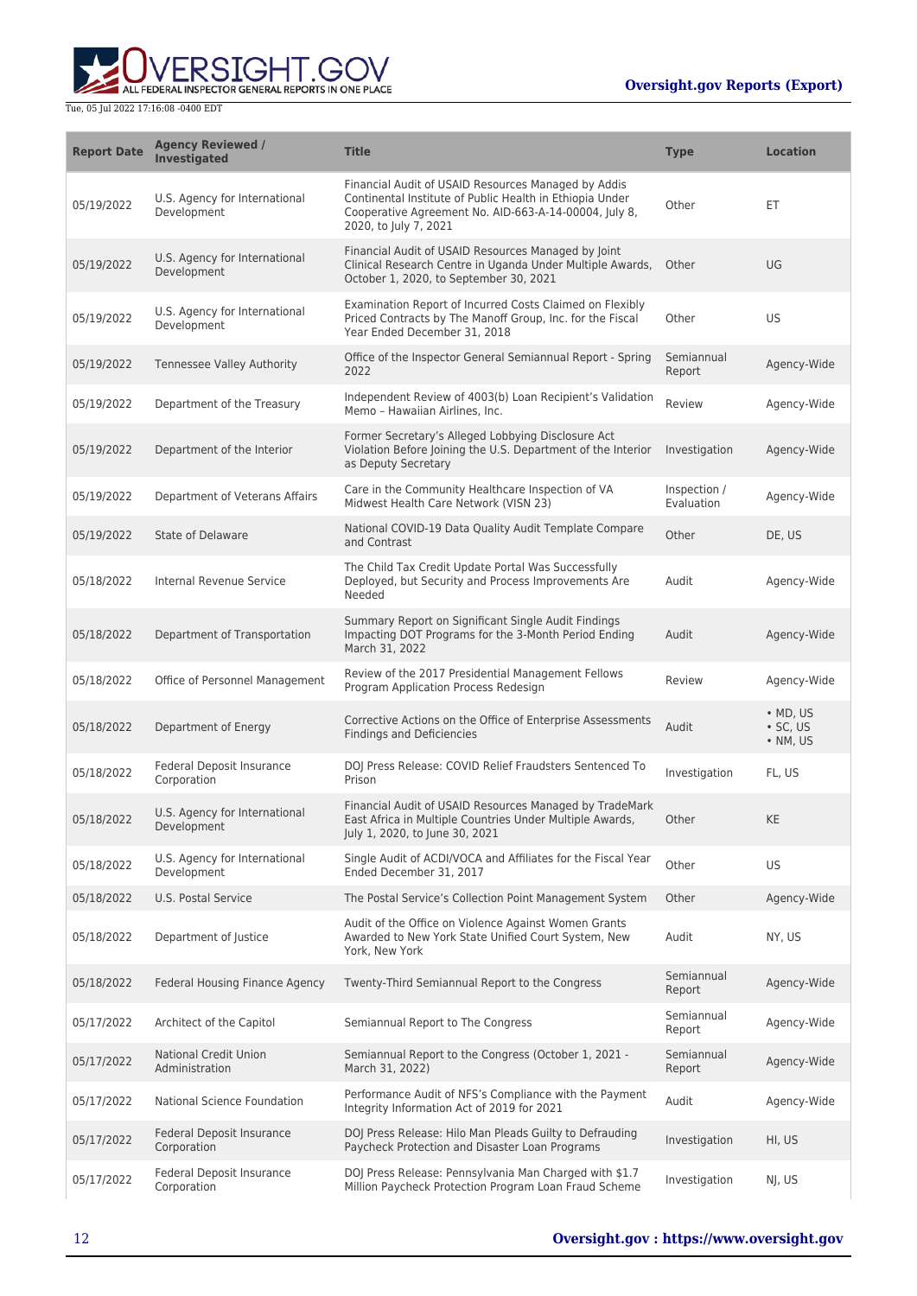

| <b>Report Date</b> | <b>Agency Reviewed /</b><br><b>Investigated</b> | <b>Title</b>                                                                                                                                                                                      | <b>Type</b>                | <b>Location</b>                                        |
|--------------------|-------------------------------------------------|---------------------------------------------------------------------------------------------------------------------------------------------------------------------------------------------------|----------------------------|--------------------------------------------------------|
| 05/19/2022         | U.S. Agency for International<br>Development    | Financial Audit of USAID Resources Managed by Addis<br>Continental Institute of Public Health in Ethiopia Under<br>Cooperative Agreement No. AID-663-A-14-00004, July 8,<br>2020, to July 7, 2021 | Other                      | ЕT                                                     |
| 05/19/2022         | U.S. Agency for International<br>Development    | Financial Audit of USAID Resources Managed by Joint<br>Clinical Research Centre in Uganda Under Multiple Awards,<br>October 1, 2020, to September 30, 2021                                        | Other                      | UG                                                     |
| 05/19/2022         | U.S. Agency for International<br>Development    | Examination Report of Incurred Costs Claimed on Flexibly<br>Priced Contracts by The Manoff Group, Inc. for the Fiscal<br>Year Ended December 31, 2018                                             | Other                      | US.                                                    |
| 05/19/2022         | Tennessee Valley Authority                      | Office of the Inspector General Semiannual Report - Spring<br>2022                                                                                                                                | Semiannual<br>Report       | Agency-Wide                                            |
| 05/19/2022         | Department of the Treasury                      | Independent Review of 4003(b) Loan Recipient's Validation<br>Memo - Hawaiian Airlines, Inc.                                                                                                       | Review                     | Agency-Wide                                            |
| 05/19/2022         | Department of the Interior                      | Former Secretary's Alleged Lobbying Disclosure Act<br>Violation Before Joining the U.S. Department of the Interior<br>as Deputy Secretary                                                         | Investigation              | Agency-Wide                                            |
| 05/19/2022         | Department of Veterans Affairs                  | Care in the Community Healthcare Inspection of VA<br>Midwest Health Care Network (VISN 23)                                                                                                        | Inspection /<br>Evaluation | Agency-Wide                                            |
| 05/19/2022         | State of Delaware                               | National COVID-19 Data Quality Audit Template Compare<br>and Contrast                                                                                                                             | Other                      | DE, US                                                 |
| 05/18/2022         | Internal Revenue Service                        | The Child Tax Credit Update Portal Was Successfully<br>Deployed, but Security and Process Improvements Are<br>Needed                                                                              | Audit                      | Agency-Wide                                            |
| 05/18/2022         | Department of Transportation                    | Summary Report on Significant Single Audit Findings<br>Impacting DOT Programs for the 3-Month Period Ending<br>March 31, 2022                                                                     | Audit                      | Agency-Wide                                            |
| 05/18/2022         | Office of Personnel Management                  | Review of the 2017 Presidential Management Fellows<br>Program Application Process Redesign                                                                                                        | Review                     | Agency-Wide                                            |
| 05/18/2022         | Department of Energy                            | Corrective Actions on the Office of Enterprise Assessments<br><b>Findings and Deficiencies</b>                                                                                                    | Audit                      | $\bullet$ MD, US<br>$\cdot$ SC, US<br>$\bullet$ NM, US |
| 05/18/2022         | Federal Deposit Insurance<br>Corporation        | DOJ Press Release: COVID Relief Fraudsters Sentenced To<br>Prison                                                                                                                                 | Investigation              | FL, US                                                 |
| 05/18/2022         | U.S. Agency for International<br>Development    | Financial Audit of USAID Resources Managed by TradeMark<br>East Africa in Multiple Countries Under Multiple Awards,<br>July 1, 2020, to June 30, 2021                                             | Other                      | <b>KE</b>                                              |
| 05/18/2022         | U.S. Agency for International<br>Development    | Single Audit of ACDI/VOCA and Affiliates for the Fiscal Year<br>Ended December 31, 2017                                                                                                           | Other                      | US.                                                    |
| 05/18/2022         | U.S. Postal Service                             | The Postal Service's Collection Point Management System                                                                                                                                           | Other                      | Agency-Wide                                            |
| 05/18/2022         | Department of Justice                           | Audit of the Office on Violence Against Women Grants<br>Awarded to New York State Unified Court System, New<br>York, New York                                                                     | Audit                      | NY, US                                                 |
| 05/18/2022         | Federal Housing Finance Agency                  | Twenty-Third Semiannual Report to the Congress                                                                                                                                                    | Semiannual<br>Report       | Agency-Wide                                            |
| 05/17/2022         | Architect of the Capitol                        | Semiannual Report to The Congress                                                                                                                                                                 | Semiannual<br>Report       | Agency-Wide                                            |
| 05/17/2022         | <b>National Credit Union</b><br>Administration  | Semiannual Report to the Congress (October 1, 2021 -<br>March 31, 2022)                                                                                                                           | Semiannual<br>Report       | Agency-Wide                                            |
| 05/17/2022         | National Science Foundation                     | Performance Audit of NFS's Compliance with the Payment<br>Integrity Information Act of 2019 for 2021                                                                                              | Audit                      | Agency-Wide                                            |
| 05/17/2022         | Federal Deposit Insurance<br>Corporation        | DOJ Press Release: Hilo Man Pleads Guilty to Defrauding<br>Paycheck Protection and Disaster Loan Programs                                                                                         | Investigation              | HI, US                                                 |
| 05/17/2022         | Federal Deposit Insurance<br>Corporation        | DOJ Press Release: Pennsylvania Man Charged with \$1.7<br>Million Paycheck Protection Program Loan Fraud Scheme                                                                                   | Investigation              | NJ, US                                                 |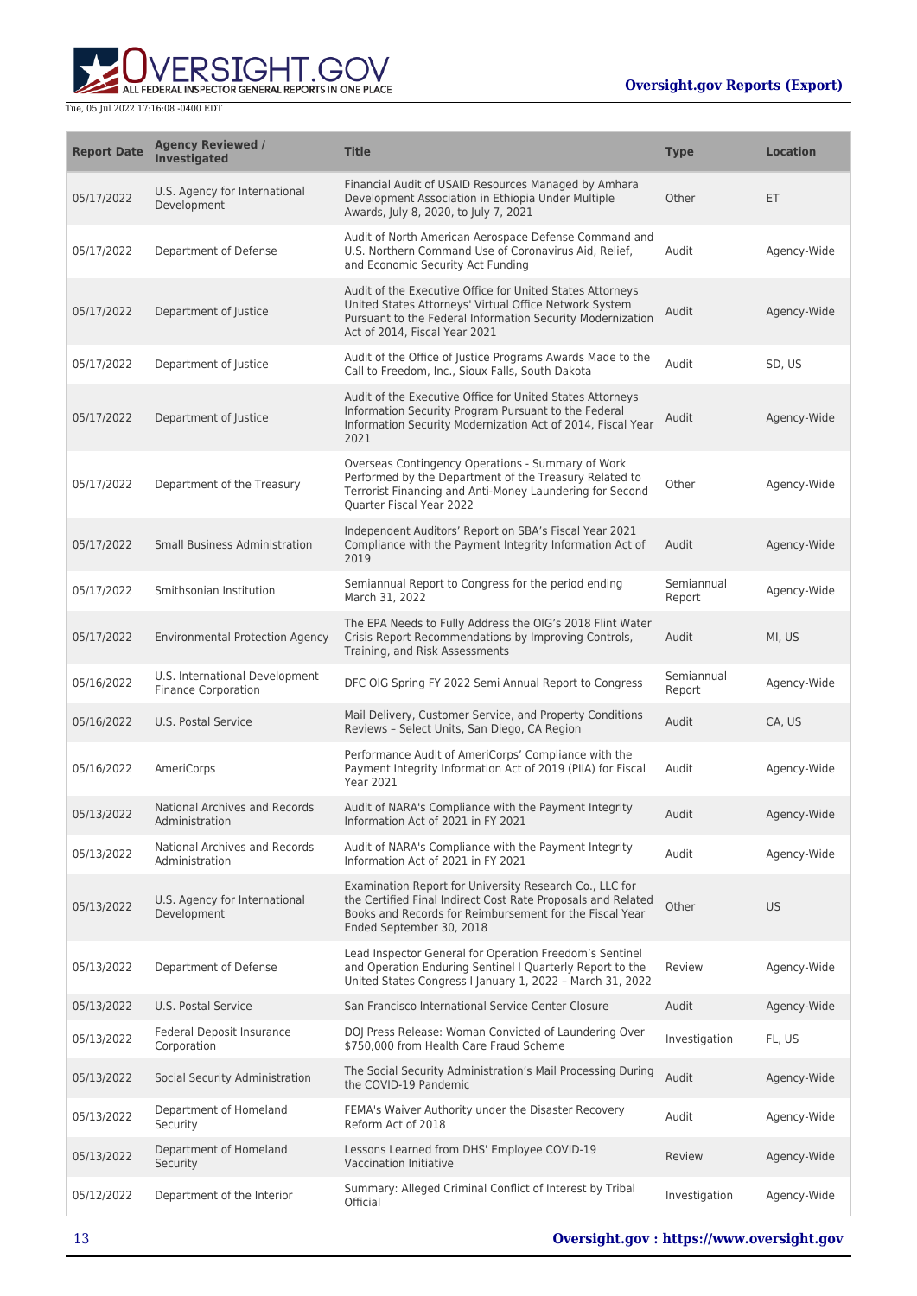

| <b>Report Date</b> | <b>Agency Reviewed /</b><br>Investigated                     | <b>Title</b>                                                                                                                                                                                                       | <b>Type</b>          | <b>Location</b> |
|--------------------|--------------------------------------------------------------|--------------------------------------------------------------------------------------------------------------------------------------------------------------------------------------------------------------------|----------------------|-----------------|
| 05/17/2022         | U.S. Agency for International<br>Development                 | Financial Audit of USAID Resources Managed by Amhara<br>Development Association in Ethiopia Under Multiple<br>Awards, July 8, 2020, to July 7, 2021                                                                | Other                | ET              |
| 05/17/2022         | Department of Defense                                        | Audit of North American Aerospace Defense Command and<br>U.S. Northern Command Use of Coronavirus Aid, Relief,<br>and Economic Security Act Funding                                                                | Audit                | Agency-Wide     |
| 05/17/2022         | Department of Justice                                        | Audit of the Executive Office for United States Attorneys<br>United States Attorneys' Virtual Office Network System<br>Pursuant to the Federal Information Security Modernization<br>Act of 2014, Fiscal Year 2021 | Audit                | Agency-Wide     |
| 05/17/2022         | Department of Justice                                        | Audit of the Office of Justice Programs Awards Made to the<br>Call to Freedom, Inc., Sioux Falls, South Dakota                                                                                                     | Audit                | SD, US          |
| 05/17/2022         | Department of Justice                                        | Audit of the Executive Office for United States Attorneys<br>Information Security Program Pursuant to the Federal<br>Information Security Modernization Act of 2014, Fiscal Year<br>2021                           | Audit                | Agency-Wide     |
| 05/17/2022         | Department of the Treasury                                   | Overseas Contingency Operations - Summary of Work<br>Performed by the Department of the Treasury Related to<br>Terrorist Financing and Anti-Money Laundering for Second<br>Quarter Fiscal Year 2022                | Other                | Agency-Wide     |
| 05/17/2022         | <b>Small Business Administration</b>                         | Independent Auditors' Report on SBA's Fiscal Year 2021<br>Compliance with the Payment Integrity Information Act of<br>2019                                                                                         | Audit                | Agency-Wide     |
| 05/17/2022         | Smithsonian Institution                                      | Semiannual Report to Congress for the period ending<br>March 31, 2022                                                                                                                                              | Semiannual<br>Report | Agency-Wide     |
| 05/17/2022         | <b>Environmental Protection Agency</b>                       | The EPA Needs to Fully Address the OIG's 2018 Flint Water<br>Crisis Report Recommendations by Improving Controls,<br>Training, and Risk Assessments                                                                | Audit                | MI, US          |
| 05/16/2022         | U.S. International Development<br><b>Finance Corporation</b> | DFC OIG Spring FY 2022 Semi Annual Report to Congress                                                                                                                                                              | Semiannual<br>Report | Agency-Wide     |
| 05/16/2022         | U.S. Postal Service                                          | Mail Delivery, Customer Service, and Property Conditions<br>Reviews - Select Units, San Diego, CA Region                                                                                                           | Audit                | CA, US          |
| 05/16/2022         | AmeriCorps                                                   | Performance Audit of AmeriCorps' Compliance with the<br>Payment Integrity Information Act of 2019 (PIIA) for Fiscal<br><b>Year 2021</b>                                                                            | Audit                | Agency-Wide     |
| 05/13/2022         | National Archives and Records<br>Administration              | Audit of NARA's Compliance with the Payment Integrity<br>Information Act of 2021 in FY 2021                                                                                                                        | Audit                | Agency-Wide     |
| 05/13/2022         | National Archives and Records<br>Administration              | Audit of NARA's Compliance with the Payment Integrity<br>Information Act of 2021 in FY 2021                                                                                                                        | Audit                | Agency-Wide     |
| 05/13/2022         | U.S. Agency for International<br>Development                 | Examination Report for University Research Co., LLC for<br>the Certified Final Indirect Cost Rate Proposals and Related<br>Books and Records for Reimbursement for the Fiscal Year<br>Ended September 30, 2018     | Other                | US              |
| 05/13/2022         | Department of Defense                                        | Lead Inspector General for Operation Freedom's Sentinel<br>and Operation Enduring Sentinel I Quarterly Report to the<br>United States Congress I January 1, 2022 - March 31, 2022                                  | Review               | Agency-Wide     |
| 05/13/2022         | <b>U.S. Postal Service</b>                                   | San Francisco International Service Center Closure                                                                                                                                                                 | Audit                | Agency-Wide     |
| 05/13/2022         | Federal Deposit Insurance<br>Corporation                     | DOJ Press Release: Woman Convicted of Laundering Over<br>\$750,000 from Health Care Fraud Scheme                                                                                                                   | Investigation        | FL, US          |
| 05/13/2022         | Social Security Administration                               | The Social Security Administration's Mail Processing During<br>the COVID-19 Pandemic                                                                                                                               | Audit                | Agency-Wide     |
| 05/13/2022         | Department of Homeland<br>Security                           | FEMA's Waiver Authority under the Disaster Recovery<br>Reform Act of 2018                                                                                                                                          | Audit                | Agency-Wide     |
| 05/13/2022         | Department of Homeland<br>Security                           | Lessons Learned from DHS' Employee COVID-19<br><b>Vaccination Initiative</b>                                                                                                                                       | Review               | Agency-Wide     |
| 05/12/2022         | Department of the Interior                                   | Summary: Alleged Criminal Conflict of Interest by Tribal<br>Official                                                                                                                                               | Investigation        | Agency-Wide     |